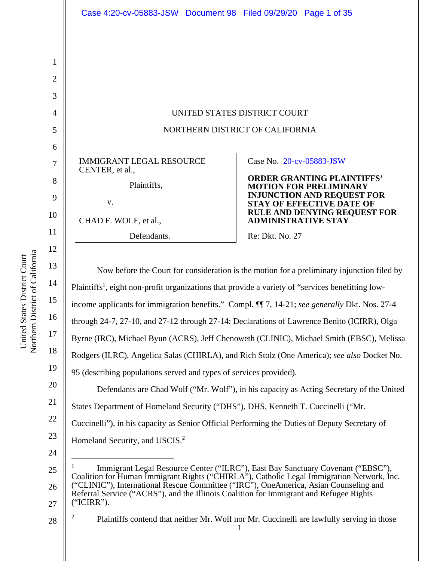|                | Case 4:20-cv-05883-JSW Document 98 Filed 09/29/20 Page 1 of 35                                                |                            |                                                                       |  |
|----------------|---------------------------------------------------------------------------------------------------------------|----------------------------|-----------------------------------------------------------------------|--|
|                |                                                                                                               |                            |                                                                       |  |
| $\mathbf{1}$   |                                                                                                               |                            |                                                                       |  |
| $\overline{2}$ |                                                                                                               |                            |                                                                       |  |
| 3              |                                                                                                               |                            |                                                                       |  |
| 4              | UNITED STATES DISTRICT COURT                                                                                  |                            |                                                                       |  |
| 5              | NORTHERN DISTRICT OF CALIFORNIA                                                                               |                            |                                                                       |  |
| 6              |                                                                                                               |                            |                                                                       |  |
| $\tau$         | <b>IMMIGRANT LEGAL RESOURCE</b><br>CENTER, et al.,                                                            | Case No. 20-cv-05883-JSW   |                                                                       |  |
| 8              | Plaintiffs,                                                                                                   |                            | <b>ORDER GRANTING PLAINTIFFS'</b><br><b>MOTION FOR PRELIMINARY</b>    |  |
| 9              | V.                                                                                                            |                            | <b>INJUNCTION AND REQUEST FOR</b><br><b>STAY OF EFFECTIVE DATE OF</b> |  |
| 10             | CHAD F. WOLF, et al.,                                                                                         | <b>ADMINISTRATIVE STAY</b> | RULE AND DENYING REQUEST FOR                                          |  |
| 11             | Defendants.                                                                                                   | Re: Dkt. No. 27            |                                                                       |  |
| 12             |                                                                                                               |                            |                                                                       |  |
| 13             | Now before the Court for consideration is the motion for a preliminary injunction filed by                    |                            |                                                                       |  |
| 14             | Plaintiffs <sup>1</sup> , eight non-profit organizations that provide a variety of "services benefitting low- |                            |                                                                       |  |
| 15             | income applicants for immigration benefits." Compl. ¶ 7, 14-21; see generally Dkt. Nos. 27-4                  |                            |                                                                       |  |
| 16             | through 24-7, 27-10, and 27-12 through 27-14: Declarations of Lawrence Benito (ICIRR), Olga                   |                            |                                                                       |  |
| 17             | Byrne (IRC), Michael Byun (ACRS), Jeff Chenoweth (CLINIC), Michael Smith (EBSC), Melissa                      |                            |                                                                       |  |
| 18             | Rodgers (ILRC), Angelica Salas (CHIRLA), and Rich Stolz (One America); see also Docket No.                    |                            |                                                                       |  |
| 19             | 95 (describing populations served and types of services provided).                                            |                            |                                                                       |  |
| 20             | Defendants are Chad Wolf ("Mr. Wolf"), in his capacity as Acting Secretary of the United                      |                            |                                                                       |  |
| 21             | States Department of Homeland Security ("DHS"), DHS, Kenneth T. Cuccinelli ("Mr.                              |                            |                                                                       |  |
| 22             | Cuccinelli"), in his capacity as Senior Official Performing the Duties of Deputy Secretary of                 |                            |                                                                       |  |
| 23             | Homeland Security, and USCIS. <sup>2</sup>                                                                    |                            |                                                                       |  |
| 24             |                                                                                                               |                            |                                                                       |  |

1 28 2 Plaintiffs contend that neither Mr. Wolf nor Mr. Cuccinelli are lawfully serving in those

a United States District Court United States District Court Northern District of Californi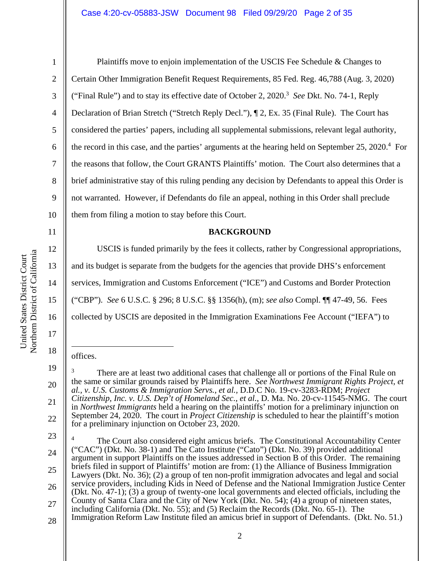2

3

4

5

6

7

8

9

10

11

12

13

14

15

16

17

18

19

20

21

22

Plaintiffs move to enjoin implementation of the USCIS Fee Schedule & Changes to Certain Other Immigration Benefit Request Requirements, 85 Fed. Reg. 46,788 (Aug. 3, 2020) ("Final Rule") and to stay its effective date of October 2, 2020.3 *See* Dkt. No. 74-1, Reply Declaration of Brian Stretch ("Stretch Reply Decl."), ¶ 2, Ex. 35 (Final Rule). The Court has considered the parties' papers, including all supplemental submissions, relevant legal authority, the record in this case, and the parties' arguments at the hearing held on September 25, 2020.<sup>4</sup> For the reasons that follow, the Court GRANTS Plaintiffs' motion. The Court also determines that a brief administrative stay of this ruling pending any decision by Defendants to appeal this Order is not warranted. However, if Defendants do file an appeal, nothing in this Order shall preclude them from filing a motion to stay before this Court.

#### **BACKGROUND**

USCIS is funded primarily by the fees it collects, rather by Congressional appropriations, and its budget is separate from the budgets for the agencies that provide DHS's enforcement services, Immigration and Customs Enforcement ("ICE") and Customs and Border Protection ("CBP"). *See* 6 U.S.C. § 296; 8 U.S.C. §§ 1356(h), (m); *see also* Compl. ¶¶ 47-49, 56. Fees collected by USCIS are deposited in the Immigration Examinations Fee Account ("IEFA") to

#### offices.

<sup>3</sup> There are at least two additional cases that challenge all or portions of the Final Rule on the same or similar grounds raised by Plaintiffs here. *See Northwest Immigrant Rights Project, et al., v. U.S. Customs & Immigration Servs.*, *et al.,* D.D.C No. 19-cv-3283-RDM; *Project Citizenship, Inc. v. U.S. Dep't of Homeland Sec., et al.*, D. Ma. No. 20-cv-11545-NMG. The court in *Northwest Immigrants* held a hearing on the plaintiffs' motion for a preliminary injunction on September 24, 2020. The court in *Project Citizenship* is scheduled to hear the plaintiff's motion for a preliminary injunction on October 23, 2020.

<sup>23</sup>  24 25 26 27 28 4 The Court also considered eight amicus briefs. The Constitutional Accountability Center ("CAC") (Dkt. No. 38-1) and The Cato Institute ("Cato") (Dkt. No. 39) provided additional argument in support Plaintiffs on the issues addressed in Section B of this Order. The remaining briefs filed in support of Plaintiffs' motion are from: (1) the Alliance of Business Immigration Lawyers (Dkt. No. 36); (2) a group of ten non-profit immigration advocates and legal and social service providers, including Kids in Need of Defense and the National Immigration Justice Center (Dkt. No. 47-1); (3) a group of twenty-one local governments and elected officials, including the County of Santa Clara and the City of New York (Dkt. No. 54); (4) a group of nineteen states, including California (Dkt. No. 55); and (5) Reclaim the Records (Dkt. No. 65-1). The Immigration Reform Law Institute filed an amicus brief in support of Defendants. (Dkt. No. 51.)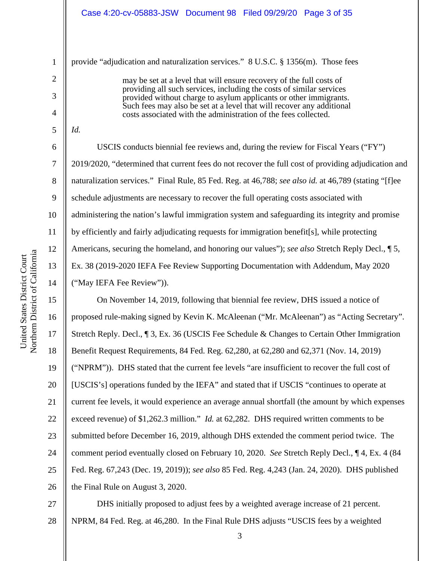provide "adjudication and naturalization services." 8 U.S.C. § 1356(m). Those fees

may be set at a level that will ensure recovery of the full costs of providing all such services, including the costs of similar services provided without charge to asylum applicants or other immigrants. Such fees may also be set at a level that will recover any additional costs associated with the administration of the fees collected.

*Id.*

1

2

3

4

5

6

7

8

9

10

11

12

13

14

USCIS conducts biennial fee reviews and, during the review for Fiscal Years ("FY") 2019/2020, "determined that current fees do not recover the full cost of providing adjudication and naturalization services." Final Rule, 85 Fed. Reg. at 46,788; *see also id.* at 46,789 (stating "[f]ee schedule adjustments are necessary to recover the full operating costs associated with administering the nation's lawful immigration system and safeguarding its integrity and promise by efficiently and fairly adjudicating requests for immigration benefit[s], while protecting Americans, securing the homeland, and honoring our values"); *see also* Stretch Reply Decl., ¶ 5, Ex. 38 (2019-2020 IEFA Fee Review Supporting Documentation with Addendum, May 2020 ("May IEFA Fee Review")).

15 16 17 18 19 20 21 22 23 24 25 26 On November 14, 2019, following that biennial fee review, DHS issued a notice of proposed rule-making signed by Kevin K. McAleenan ("Mr. McAleenan") as "Acting Secretary". Stretch Reply. Decl., ¶ 3, Ex. 36 (USCIS Fee Schedule & Changes to Certain Other Immigration Benefit Request Requirements, 84 Fed. Reg. 62,280, at 62,280 and 62,371 (Nov. 14, 2019) ("NPRM")). DHS stated that the current fee levels "are insufficient to recover the full cost of [USCIS's] operations funded by the IEFA" and stated that if USCIS "continues to operate at current fee levels, it would experience an average annual shortfall (the amount by which expenses exceed revenue) of \$1,262.3 million." *Id.* at 62,282. DHS required written comments to be submitted before December 16, 2019, although DHS extended the comment period twice. The comment period eventually closed on February 10, 2020. *See* Stretch Reply Decl., ¶ 4, Ex. 4 (84 Fed. Reg. 67,243 (Dec. 19, 2019)); *see also* 85 Fed. Reg. 4,243 (Jan. 24, 2020). DHS published the Final Rule on August 3, 2020.

27 28 DHS initially proposed to adjust fees by a weighted average increase of 21 percent. NPRM, 84 Fed. Reg. at 46,280. In the Final Rule DHS adjusts "USCIS fees by a weighted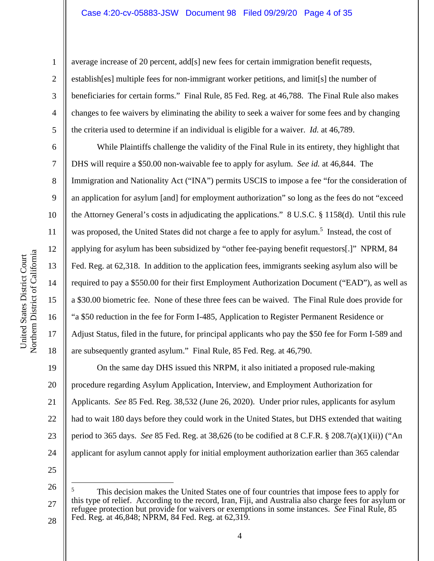average increase of 20 percent, add[s] new fees for certain immigration benefit requests, establish[es] multiple fees for non-immigrant worker petitions, and limit[s] the number of beneficiaries for certain forms." Final Rule, 85 Fed. Reg. at 46,788. The Final Rule also makes changes to fee waivers by eliminating the ability to seek a waiver for some fees and by changing the criteria used to determine if an individual is eligible for a waiver. *Id.* at 46,789.

While Plaintiffs challenge the validity of the Final Rule in its entirety, they highlight that DHS will require a \$50.00 non-waivable fee to apply for asylum. *See id.* at 46,844. The Immigration and Nationality Act ("INA") permits USCIS to impose a fee "for the consideration of an application for asylum [and] for employment authorization" so long as the fees do not "exceed the Attorney General's costs in adjudicating the applications." 8 U.S.C. § 1158(d). Until this rule was proposed, the United States did not charge a fee to apply for asylum.<sup>5</sup> Instead, the cost of applying for asylum has been subsidized by "other fee-paying benefit requestors[.]" NPRM, 84 Fed. Reg. at 62,318. In addition to the application fees, immigrants seeking asylum also will be required to pay a \$550.00 for their first Employment Authorization Document ("EAD"), as well as a \$30.00 biometric fee. None of these three fees can be waived. The Final Rule does provide for "a \$50 reduction in the fee for Form I-485, Application to Register Permanent Residence or Adjust Status, filed in the future, for principal applicants who pay the \$50 fee for Form I-589 and are subsequently granted asylum." Final Rule, 85 Fed. Reg. at 46,790.

24 On the same day DHS issued this NRPM, it also initiated a proposed rule-making procedure regarding Asylum Application, Interview, and Employment Authorization for Applicants. *See* 85 Fed. Reg. 38,532 (June 26, 2020). Under prior rules, applicants for asylum had to wait 180 days before they could work in the United States, but DHS extended that waiting period to 365 days. *See* 85 Fed. Reg. at 38,626 (to be codified at 8 C.F.R. § 208.7(a)(1)(ii)) ("An applicant for asylum cannot apply for initial employment authorization earlier than 365 calendar

25

1

2

3

4

5

6

7

8

9

10

11

12

13

14

15

16

17

18

19

20

21

22

<sup>26</sup>  27 28 5 This decision makes the United States one of four countries that impose fees to apply for this type of relief. According to the record, Iran, Fiji, and Australia also charge fees for asylum or refugee protection but provide for waivers or exemptions in some instances. *See* Final Rule, 85 Fed. Reg. at 46,848; NPRM, 84 Fed. Reg. at 62,319.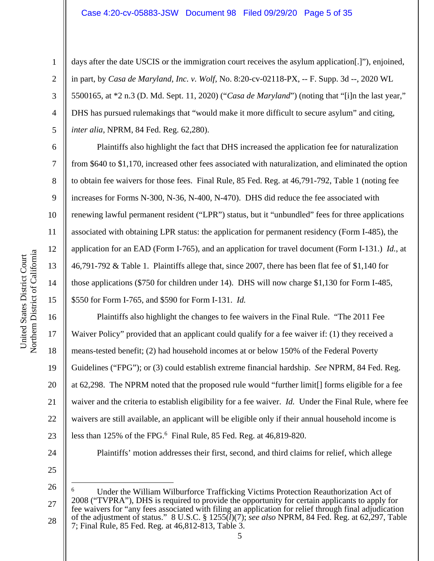days after the date USCIS or the immigration court receives the asylum application[.]"), enjoined, in part, by *Casa de Maryland, Inc. v. Wolf,* No. 8:20-cv-02118-PX, -- F. Supp. 3d --, 2020 WL 5500165, at \*2 n.3 (D. Md. Sept. 11, 2020) ("*Casa de Maryland*") (noting that "[i]n the last year," DHS has pursued rulemakings that "would make it more difficult to secure asylum" and citing, *inter alia*, NPRM, 84 Fed. Reg. 62,280).

Plaintiffs also highlight the fact that DHS increased the application fee for naturalization from \$640 to \$1,170, increased other fees associated with naturalization, and eliminated the option to obtain fee waivers for those fees. Final Rule, 85 Fed. Reg. at 46,791-792, Table 1 (noting fee increases for Forms N-300, N-36, N-400, N-470). DHS did reduce the fee associated with renewing lawful permanent resident ("LPR") status, but it "unbundled" fees for three applications associated with obtaining LPR status: the application for permanent residency (Form I-485), the application for an EAD (Form I-765), and an application for travel document (Form I-131.) *Id.*, at 46,791-792 & Table 1. Plaintiffs allege that, since 2007, there has been flat fee of \$1,140 for those applications (\$750 for children under 14). DHS will now charge \$1,130 for Form I-485, \$550 for Form I-765, and \$590 for Form I-131. *Id.*

16 17 18 19 20 21 22 23 Plaintiffs also highlight the changes to fee waivers in the Final Rule. "The 2011 Fee Waiver Policy" provided that an applicant could qualify for a fee waiver if: (1) they received a means-tested benefit; (2) had household incomes at or below 150% of the Federal Poverty Guidelines ("FPG"); or (3) could establish extreme financial hardship. *See* NPRM, 84 Fed. Reg. at 62,298. The NPRM noted that the proposed rule would "further limit[] forms eligible for a fee waiver and the criteria to establish eligibility for a fee waiver. *Id.* Under the Final Rule, where fee waivers are still available, an applicant will be eligible only if their annual household income is less than 125% of the FPG.<sup>6</sup> Final Rule, 85 Fed. Reg. at 46,819-820.

24

25

1

2

3

4

5

6

7

8

9

10

11

12

13

14

15

5

Plaintiffs' motion addresses their first, second, and third claims for relief, which allege

<sup>26</sup>  27 28 6 Under the William Wilburforce Trafficking Victims Protection Reauthorization Act of 2008 ("TVPRA"), DHS is required to provide the opportunity for certain applicants to apply for fee waivers for "any fees associated with filing an application for relief through final adjudication of the adjustment of status." 8 U.S.C. § 1255(*l*)(7); *see also* NPRM, 84 Fed. Reg. at 62,297, Table 7; Final Rule, 85 Fed. Reg. at 46,812-813, Table 3.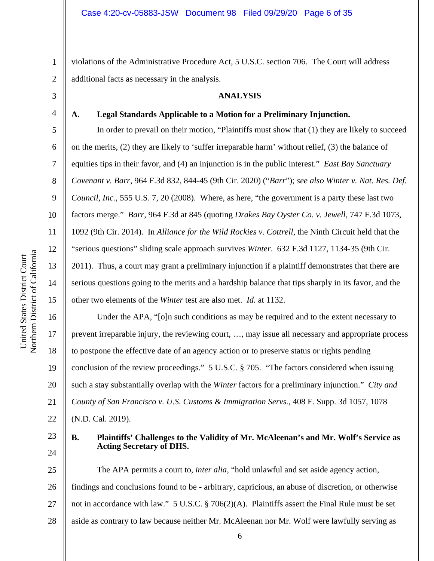violations of the Administrative Procedure Act, 5 U.S.C. section 706. The Court will address additional facts as necessary in the analysis.

## **ANALYSIS**

### **A. Legal Standards Applicable to a Motion for a Preliminary Injunction.**

In order to prevail on their motion, "Plaintiffs must show that (1) they are likely to succeed on the merits, (2) they are likely to 'suffer irreparable harm' without relief, (3) the balance of equities tips in their favor, and (4) an injunction is in the public interest." *East Bay Sanctuary Covenant v. Barr*, 964 F.3d 832, 844-45 (9th Cir. 2020) ("*Barr*"); *see also Winter v. Nat. Res. Def. Council, Inc.*, 555 U.S. 7, 20 (2008). Where, as here, "the government is a party these last two factors merge." *Barr*, 964 F.3d at 845 (quoting *Drakes Bay Oyster Co. v. Jewell*, 747 F.3d 1073, 1092 (9th Cir. 2014). In *Alliance for the Wild Rockies v. Cottrell*, the Ninth Circuit held that the "serious questions" sliding scale approach survives *Winter*. 632 F.3d 1127, 1134-35 (9th Cir. 2011). Thus, a court may grant a preliminary injunction if a plaintiff demonstrates that there are serious questions going to the merits and a hardship balance that tips sharply in its favor, and the other two elements of the *Winter* test are also met. *Id.* at 1132.

16 17 18 19 20 21 Under the APA, "[o]n such conditions as may be required and to the extent necessary to prevent irreparable injury, the reviewing court, …, may issue all necessary and appropriate process to postpone the effective date of an agency action or to preserve status or rights pending conclusion of the review proceedings." 5 U.S.C. § 705. "The factors considered when issuing such a stay substantially overlap with the *Winter* factors for a preliminary injunction." *City and County of San Francisco v. U.S. Customs & Immigration Servs.*, 408 F. Supp. 3d 1057, 1078

22 (N.D. Cal. 2019).

23 24

### **B. Plaintiffs' Challenges to the Validity of Mr. McAleenan's and Mr. Wolf's Service as Acting Secretary of DHS.**

25 26 27 28 The APA permits a court to, *inter alia,* "hold unlawful and set aside agency action, findings and conclusions found to be - arbitrary, capricious, an abuse of discretion, or otherwise not in accordance with law." 5 U.S.C. § 706(2)(A). Plaintiffs assert the Final Rule must be set aside as contrary to law because neither Mr. McAleenan nor Mr. Wolf were lawfully serving as

1

2

3

4

5

6

7

8

9

10

11

12

13

14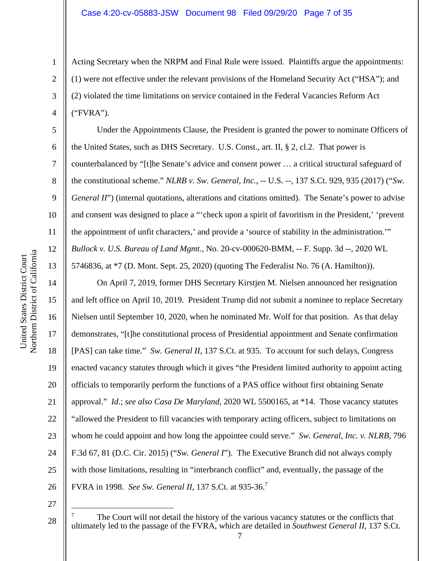Acting Secretary when the NRPM and Final Rule were issued. Plaintiffs argue the appointments: (1) were not effective under the relevant provisions of the Homeland Security Act ("HSA"); and (2) violated the time limitations on service contained in the Federal Vacancies Reform Act ("FVRA").

Under the Appointments Clause, the President is granted the power to nominate Officers of the United States, such as DHS Secretary. U.S. Const., art. II, § 2, cl.2. That power is counterbalanced by "[t]he Senate's advice and consent power … a critical structural safeguard of the constitutional scheme." *NLRB v. Sw. General, Inc.*, -- U.S. --, 137 S.Ct. 929, 935 (2017) ("*Sw. General II*") (internal quotations, alterations and citations omitted). The Senate's power to advise and consent was designed to place a "'check upon a spirit of favoritism in the President,' 'prevent the appointment of unfit characters,' and provide a 'source of stability in the administration.'" *Bullock v. U.S. Bureau of Land Mgmt.*, No. 20-cv-000620-BMM, -- F. Supp. 3d --, 2020 WL 5746836, at \*7 (D. Mont. Sept. 25, 2020) (quoting The Federalist No. 76 (A. Hamilton)).

On April 7, 2019, former DHS Secretary Kirstjen M. Nielsen announced her resignation and left office on April 10, 2019. President Trump did not submit a nominee to replace Secretary Nielsen until September 10, 2020, when he nominated Mr. Wolf for that position. As that delay demonstrates, "[t]he constitutional process of Presidential appointment and Senate confirmation [PAS] can take time." *Sw. General II*, 137 S.Ct. at 935. To account for such delays, Congress enacted vacancy statutes through which it gives "the President limited authority to appoint acting officials to temporarily perform the functions of a PAS office without first obtaining Senate approval." *Id*.; *see also Casa De Maryland*, 2020 WL 5500165, at \*14. Those vacancy statutes "allowed the President to fill vacancies with temporary acting officers, subject to limitations on whom he could appoint and how long the appointee could serve." *Sw. General, Inc. v. NLRB*, 796 F.3d 67, 81 (D.C. Cir. 2015) ("*Sw. General I*"). The Executive Branch did not always comply with those limitations, resulting in "interbranch conflict" and, eventually, the passage of the FVRA in 1998. *See Sw. General II*, 137 S.Ct. at 935-36.<sup>7</sup>

27

28

1

2

3

4

5

6

7

8

9

10

11

12

13

14

15

16

17

18

19

20

21

22

23

24

25

<sup>7</sup> The Court will not detail the history of the various vacancy statutes or the conflicts that ultimately led to the passage of the FVRA, which are detailed in *Southwest General II*, 137 S.Ct.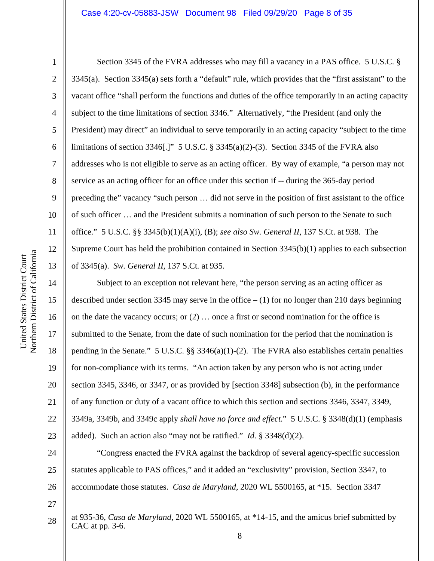2

3

4

5

6

7

8

9

10

11

12

13

Section 3345 of the FVRA addresses who may fill a vacancy in a PAS office. 5 U.S.C. § 3345(a). Section 3345(a) sets forth a "default" rule, which provides that the "first assistant" to the vacant office "shall perform the functions and duties of the office temporarily in an acting capacity subject to the time limitations of section 3346." Alternatively, "the President (and only the President) may direct" an individual to serve temporarily in an acting capacity "subject to the time limitations of section 3346[.]" 5 U.S.C. § 3345(a)(2)-(3). Section 3345 of the FVRA also addresses who is not eligible to serve as an acting officer. By way of example, "a person may not service as an acting officer for an office under this section if -- during the 365-day period preceding the" vacancy "such person … did not serve in the position of first assistant to the office of such officer … and the President submits a nomination of such person to the Senate to such office." 5 U.S.C. §§ 3345(b)(1)(A)(i), (B); *see also Sw. General II*, 137 S.Ct. at 938. The Supreme Court has held the prohibition contained in Section 3345(b)(1) applies to each subsection of 3345(a). *Sw. General II*, 137 S.Ct*.* at 935.

14 15 16 17 18 19 20 21 22 23 Subject to an exception not relevant here, "the person serving as an acting officer as described under section 3345 may serve in the office  $- (1)$  for no longer than 210 days beginning on the date the vacancy occurs; or (2) … once a first or second nomination for the office is submitted to the Senate, from the date of such nomination for the period that the nomination is pending in the Senate." 5 U.S.C.  $\S$  3346(a)(1)-(2). The FVRA also establishes certain penalties for non-compliance with its terms. "An action taken by any person who is not acting under section 3345, 3346, or 3347, or as provided by [section 3348] subsection (b), in the performance of any function or duty of a vacant office to which this section and sections 3346, 3347, 3349, 3349a, 3349b, and 3349c apply *shall have no force and effect*." 5 U.S.C. § 3348(d)(1) (emphasis added). Such an action also "may not be ratified." *Id.* § 3348(d)(2).

24 25 26 "Congress enacted the FVRA against the backdrop of several agency-specific succession statutes applicable to PAS offices," and it added an "exclusivity" provision, Section 3347, to accommodate those statutes. *Casa de Maryland*, 2020 WL 5500165, at \*15. Section 3347

27

at 935-36, *Casa de Maryland*, 2020 WL 5500165, at \*14-15, and the amicus brief submitted by CAC at pp. 3-6.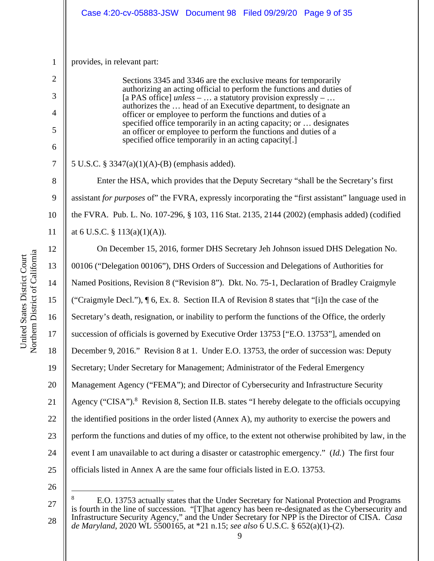|                | Case 4:20-cv-05883-JSW Document 98 Filed 09/29/20 Page 9 of 35                                                                          |  |  |
|----------------|-----------------------------------------------------------------------------------------------------------------------------------------|--|--|
|                |                                                                                                                                         |  |  |
| $\mathbf{1}$   | provides, in relevant part:                                                                                                             |  |  |
| $\overline{2}$ | Sections 3345 and 3346 are the exclusive means for temporarily<br>authorizing an acting official to perform the functions and duties of |  |  |
| 3              | [a PAS office] $unless$ -  a statutory provision expressly -<br>authorizes the  head of an Executive department, to designate an        |  |  |
| $\overline{4}$ | officer or employee to perform the functions and duties of a<br>specified office temporarily in an acting capacity; or  designates      |  |  |
| 5              | an officer or employee to perform the functions and duties of a<br>specified office temporarily in an acting capacity[.]                |  |  |
| 6              |                                                                                                                                         |  |  |
| 7              | 5 U.S.C. § 3347(a)(1)(A)-(B) (emphasis added).                                                                                          |  |  |
| 8              | Enter the HSA, which provides that the Deputy Secretary "shall be the Secretary's first                                                 |  |  |
| 9              | assistant for purposes of" the FVRA, expressly incorporating the "first assistant" language used in                                     |  |  |
| 10             | the FVRA. Pub. L. No. 107-296, § 103, 116 Stat. 2135, 2144 (2002) (emphasis added) (codified                                            |  |  |
| 11             | at 6 U.S.C. $\S$ 113(a)(1)(A)).                                                                                                         |  |  |
| 12             | On December 15, 2016, former DHS Secretary Jeh Johnson issued DHS Delegation No.                                                        |  |  |
| 13             | 00106 ("Delegation 00106"), DHS Orders of Succession and Delegations of Authorities for                                                 |  |  |
| 14             | Named Positions, Revision 8 ("Revision 8"). Dkt. No. 75-1, Declaration of Bradley Craigmyle                                             |  |  |
| 15             | ("Craigmyle Decl."), ¶ 6, Ex. 8. Section II.A of Revision 8 states that "[i]n the case of the                                           |  |  |
| 16             | Secretary's death, resignation, or inability to perform the functions of the Office, the orderly                                        |  |  |
| 17             | succession of officials is governed by Executive Order 13753 ["E.O. 13753"], amended on                                                 |  |  |
| 18             | December 9, 2016." Revision 8 at 1. Under E.O. 13753, the order of succession was: Deputy                                               |  |  |
| 19             | Secretary; Under Secretary for Management; Administrator of the Federal Emergency                                                       |  |  |
| 20             | Management Agency ("FEMA"); and Director of Cybersecurity and Infrastructure Security                                                   |  |  |
| 21             | Agency ("CISA"). <sup>8</sup> Revision 8, Section II.B. states "I hereby delegate to the officials occupying                            |  |  |
| 22             | the identified positions in the order listed (Annex A), my authority to exercise the powers and                                         |  |  |
| 23             | perform the functions and duties of my office, to the extent not otherwise prohibited by law, in the                                    |  |  |
| 24             | event I am unavailable to act during a disaster or catastrophic emergency." (Id.) The first four                                        |  |  |
| 25             | officials listed in Annex A are the same four officials listed in E.O. 13753.                                                           |  |  |
|                |                                                                                                                                         |  |  |

a

<sup>27</sup>  28 <sup>8</sup> E.O. 13753 actually states that the Under Secretary for National Protection and Programs is fourth in the line of succession. "[T]hat agency has been re-designated as the Cybersecurity and Infrastructure Security Agency," and the Under Secretary for NPP is the Director of CISA. *Casa de Maryland*, 2020 WL 5500165, at \*21 n.15; *see also* 6 U.S.C. § 652(a)(1)-(2).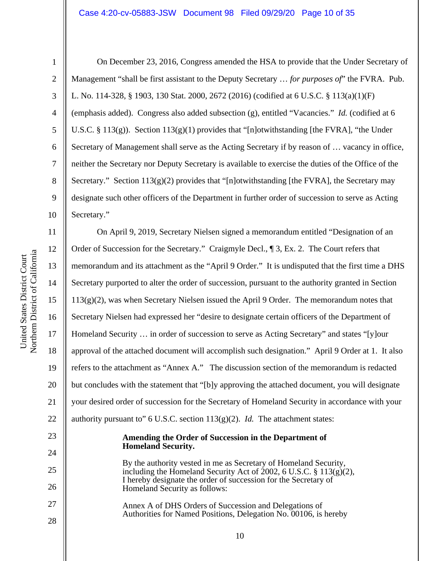#### Case 4:20-cv-05883-JSW Document 98 Filed 09/29/20 Page 10 of 35

1

2

3

4

5

6

7

8

9

10

23

24

28

On December 23, 2016, Congress amended the HSA to provide that the Under Secretary of Management "shall be first assistant to the Deputy Secretary … *for purposes of*" the FVRA. Pub. L. No. 114-328, § 1903, 130 Stat. 2000, 2672 (2016) (codified at 6 U.S.C. § 113(a)(1)(F) (emphasis added). Congress also added subsection (g), entitled "Vacancies." *Id.* (codified at 6 U.S.C. § 113(g)). Section  $113(g)(1)$  provides that "[n]otwithstanding [the FVRA], "the Under Secretary of Management shall serve as the Acting Secretary if by reason of … vacancy in office, neither the Secretary nor Deputy Secretary is available to exercise the duties of the Office of the Secretary." Section  $113(g)(2)$  provides that "[n]otwithstanding [the FVRA], the Secretary may designate such other officers of the Department in further order of succession to serve as Acting Secretary."

11 12 13 14 15 16 17 18 19 20 21 22 On April 9, 2019, Secretary Nielsen signed a memorandum entitled "Designation of an Order of Succession for the Secretary." Craigmyle Decl., ¶ 3, Ex. 2. The Court refers that memorandum and its attachment as the "April 9 Order." It is undisputed that the first time a DHS Secretary purported to alter the order of succession, pursuant to the authority granted in Section 113(g)(2), was when Secretary Nielsen issued the April 9 Order. The memorandum notes that Secretary Nielsen had expressed her "desire to designate certain officers of the Department of Homeland Security … in order of succession to serve as Acting Secretary" and states "[y]our approval of the attached document will accomplish such designation." April 9 Order at 1. It also refers to the attachment as "Annex A." The discussion section of the memorandum is redacted but concludes with the statement that "[b]y approving the attached document, you will designate your desired order of succession for the Secretary of Homeland Security in accordance with your authority pursuant to" 6 U.S.C. section 113(g)(2). *Id.* The attachment states:

#### **Amending the Order of Succession in the Department of Homeland Security.**

25 26 27 By the authority vested in me as Secretary of Homeland Security, including the Homeland Security Act of  $2002$ , 6 U.S.C. § 113(g)(2), I hereby designate the order of succession for the Secretary of Homeland Security as follows:

Annex A of DHS Orders of Succession and Delegations of Authorities for Named Positions, Delegation No. 00106, is hereby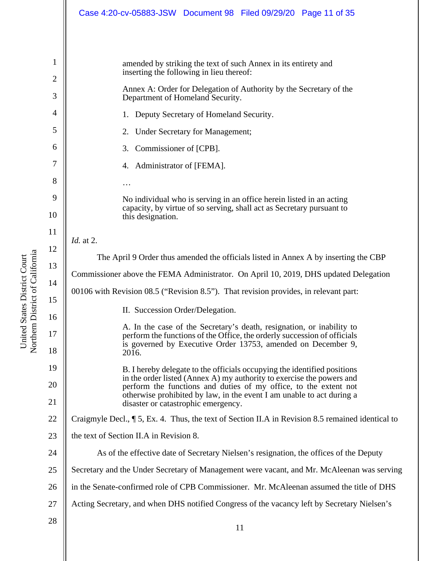|                                      | Case 4:20-cv-05883-JSW Document 98 Filed 09/29/20 Page 11 of 35                                                                                                                                                                                                                                                                                                                                     |  |  |
|--------------------------------------|-----------------------------------------------------------------------------------------------------------------------------------------------------------------------------------------------------------------------------------------------------------------------------------------------------------------------------------------------------------------------------------------------------|--|--|
| 1<br>2<br>3<br>4<br>5<br>6<br>7<br>8 | amended by striking the text of such Annex in its entirety and<br>inserting the following in lieu thereof:<br>Annex A: Order for Delegation of Authority by the Secretary of the<br>Department of Homeland Security.<br>Deputy Secretary of Homeland Security.<br>1.<br><b>Under Secretary for Management;</b><br>2.<br>Commissioner of [CPB].<br>3.<br>Administrator of [FEMA].<br>4.<br>$\ddotsc$ |  |  |
| 9<br>10                              | No individual who is serving in an office herein listed in an acting<br>capacity, by virtue of so serving, shall act as Secretary pursuant to<br>this designation.                                                                                                                                                                                                                                  |  |  |
| 11                                   | <i>Id.</i> at 2.                                                                                                                                                                                                                                                                                                                                                                                    |  |  |
| 12<br>13<br>14                       | The April 9 Order thus amended the officials listed in Annex A by inserting the CBP<br>Commissioner above the FEMA Administrator. On April 10, 2019, DHS updated Delegation                                                                                                                                                                                                                         |  |  |
| 15<br>16                             | 00106 with Revision 08.5 ("Revision 8.5"). That revision provides, in relevant part:<br>II. Succession Order/Delegation.                                                                                                                                                                                                                                                                            |  |  |
| 17<br>18                             | A. In the case of the Secretary's death, resignation, or inability to<br>perform the functions of the Office, the orderly succession of officials<br>is governed by Executive Order 13753, amended on December 9,<br>2016.                                                                                                                                                                          |  |  |
| 19<br>20<br>21                       | B. I hereby delegate to the officials occupying the identified positions<br>in the order listed (Annex A) my authority to exercise the powers and<br>perform the functions and duties of my office, to the extent not<br>otherwise prohibited by law, in the event I am unable to act during a                                                                                                      |  |  |
| 22                                   | disaster or catastrophic emergency.<br>Craigmyle Decl., ¶ 5, Ex. 4. Thus, the text of Section II.A in Revision 8.5 remained identical to                                                                                                                                                                                                                                                            |  |  |
| 23                                   | the text of Section II.A in Revision 8.                                                                                                                                                                                                                                                                                                                                                             |  |  |
| 24                                   | As of the effective date of Secretary Nielsen's resignation, the offices of the Deputy                                                                                                                                                                                                                                                                                                              |  |  |
| 25                                   | Secretary and the Under Secretary of Management were vacant, and Mr. McAleenan was serving                                                                                                                                                                                                                                                                                                          |  |  |
| 26                                   | in the Senate-confirmed role of CPB Commissioner. Mr. McAleenan assumed the title of DHS                                                                                                                                                                                                                                                                                                            |  |  |
| 27                                   | Acting Secretary, and when DHS notified Congress of the vacancy left by Secretary Nielsen's                                                                                                                                                                                                                                                                                                         |  |  |
| 28                                   | 11                                                                                                                                                                                                                                                                                                                                                                                                  |  |  |

United States District Court Northern District of Californi a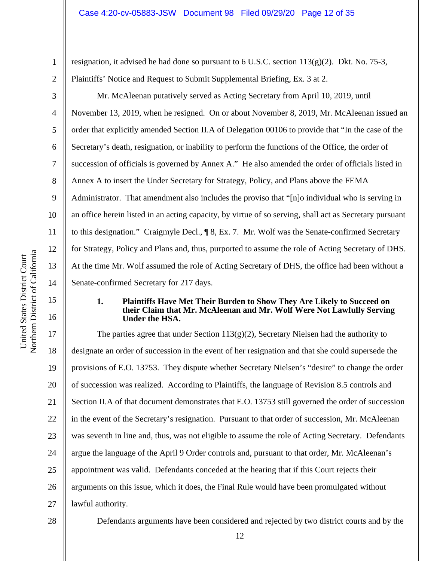3

4

5

6

7

8

9

10

11

12

a

13

14

15

16

1

resignation, it advised he had done so pursuant to 6 U.S.C. section 113(g)(2). Dkt. No. 75-3, Plaintiffs' Notice and Request to Submit Supplemental Briefing, Ex. 3 at 2.

Mr. McAleenan putatively served as Acting Secretary from April 10, 2019, until November 13, 2019, when he resigned. On or about November 8, 2019, Mr. McAleenan issued an order that explicitly amended Section II.A of Delegation 00106 to provide that "In the case of the Secretary's death, resignation, or inability to perform the functions of the Office, the order of succession of officials is governed by Annex A." He also amended the order of officials listed in Annex A to insert the Under Secretary for Strategy, Policy, and Plans above the FEMA Administrator. That amendment also includes the proviso that "[n]o individual who is serving in an office herein listed in an acting capacity, by virtue of so serving, shall act as Secretary pursuant to this designation." Craigmyle Decl., ¶ 8, Ex. 7. Mr. Wolf was the Senate-confirmed Secretary for Strategy, Policy and Plans and, thus, purported to assume the role of Acting Secretary of DHS. At the time Mr. Wolf assumed the role of Acting Secretary of DHS, the office had been without a Senate-confirmed Secretary for 217 days.

### **1. Plaintiffs Have Met Their Burden to Show They Are Likely to Succeed on their Claim that Mr. McAleenan and Mr. Wolf Were Not Lawfully Serving Under the HSA.**

17 18 19 20 21 22 23 24 25 26 27 The parties agree that under Section  $113(g)(2)$ , Secretary Nielsen had the authority to designate an order of succession in the event of her resignation and that she could supersede the provisions of E.O. 13753. They dispute whether Secretary Nielsen's "desire" to change the order of succession was realized. According to Plaintiffs, the language of Revision 8.5 controls and Section II.A of that document demonstrates that E.O. 13753 still governed the order of succession in the event of the Secretary's resignation. Pursuant to that order of succession, Mr. McAleenan was seventh in line and, thus, was not eligible to assume the role of Acting Secretary. Defendants argue the language of the April 9 Order controls and, pursuant to that order, Mr. McAleenan's appointment was valid. Defendants conceded at the hearing that if this Court rejects their arguments on this issue, which it does, the Final Rule would have been promulgated without lawful authority.

28

Defendants arguments have been considered and rejected by two district courts and by the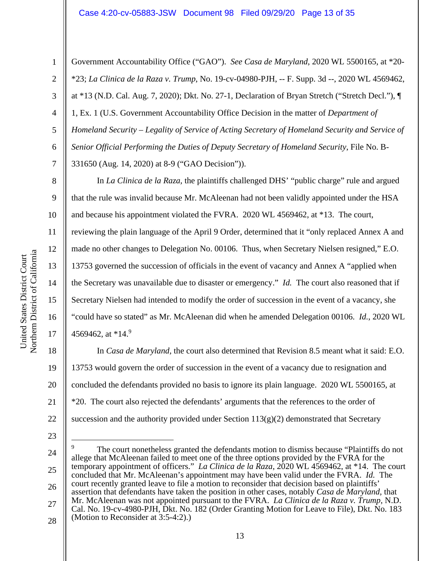2

3

4

5

6

7

8

9

10

11

12

13

14

15

16

17

18

19

20

21

22

Government Accountability Office ("GAO"). *See Casa de Maryland*, 2020 WL 5500165, at \*20- \*23; *La Clinica de la Raza v. Trump*, No. 19-cv-04980-PJH, -- F. Supp. 3d --, 2020 WL 4569462, at \*13 (N.D. Cal. Aug. 7, 2020); Dkt. No. 27-1, Declaration of Bryan Stretch ("Stretch Decl."), ¶ 1, Ex. 1 (U.S. Government Accountability Office Decision in the matter of *Department of Homeland Security – Legality of Service of Acting Secretary of Homeland Security and Service of Senior Official Performing the Duties of Deputy Secretary of Homeland Security*, File No. B-331650 (Aug. 14, 2020) at 8-9 ("GAO Decision")).

In *La Clinica de la Raza,* the plaintiffs challenged DHS' "public charge" rule and argued that the rule was invalid because Mr. McAleenan had not been validly appointed under the HSA and because his appointment violated the FVRA. 2020 WL 4569462, at \*13. The court,

reviewing the plain language of the April 9 Order, determined that it "only replaced Annex A and made no other changes to Delegation No. 00106. Thus, when Secretary Nielsen resigned," E.O. 13753 governed the succession of officials in the event of vacancy and Annex A "applied when the Secretary was unavailable due to disaster or emergency." *Id.* The court also reasoned that if Secretary Nielsen had intended to modify the order of succession in the event of a vacancy, she "could have so stated" as Mr. McAleenan did when he amended Delegation 00106. *Id.*, 2020 WL 4569462, at  $*14.9$ 

In *Casa de Maryland,* the court also determined that Revision 8.5 meant what it said: E.O. 13753 would govern the order of succession in the event of a vacancy due to resignation and concluded the defendants provided no basis to ignore its plain language. 2020 WL 5500165, at \*20. The court also rejected the defendants' arguments that the references to the order of succession and the authority provided under Section  $113(g)(2)$  demonstrated that Secretary

23

24 25 26 27 28 9 The court nonetheless granted the defendants motion to dismiss because "Plaintiffs do not allege that McAleenan failed to meet one of the three options provided by the FVRA for the temporary appointment of officers." *La Clinica de la Raza*, 2020 WL 4569462, at \*14. The court concluded that Mr. McAleenan's appointment may have been valid under the FVRA. *Id.* The court recently granted leave to file a motion to reconsider that decision based on plaintiffs' assertion that defendants have taken the position in other cases, notably *Casa de Maryland,* that Mr. McAleenan was not appointed pursuant to the FVRA. *La Clinica de la Raza v. Trump*, N.D. Cal. No. 19-cv-4980-PJH, Dkt. No. 182 (Order Granting Motion for Leave to File), Dkt. No. 183 (Motion to Reconsider at 3:5-4:2).)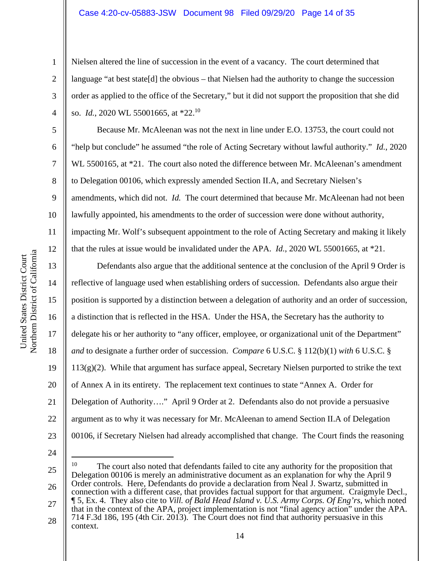#### Case 4:20-cv-05883-JSW Document 98 Filed 09/29/20 Page 14 of 35

Nielsen altered the line of succession in the event of a vacancy. The court determined that language "at best state[d] the obvious – that Nielsen had the authority to change the succession order as applied to the office of the Secretary," but it did not support the proposition that she did so. *Id.*, 2020 WL 55001665, at \*22.10

Because Mr. McAleenan was not the next in line under E.O. 13753, the court could not "help but conclude" he assumed "the role of Acting Secretary without lawful authority." *Id.*, 2020 WL 5500165, at \*21. The court also noted the difference between Mr. McAleenan's amendment to Delegation 00106, which expressly amended Section II.A, and Secretary Nielsen's amendments, which did not. *Id.* The court determined that because Mr. McAleenan had not been lawfully appointed, his amendments to the order of succession were done without authority, impacting Mr. Wolf's subsequent appointment to the role of Acting Secretary and making it likely that the rules at issue would be invalidated under the APA. *Id.*, 2020 WL 55001665, at \*21.

Defendants also argue that the additional sentence at the conclusion of the April 9 Order is reflective of language used when establishing orders of succession. Defendants also argue their position is supported by a distinction between a delegation of authority and an order of succession, a distinction that is reflected in the HSA. Under the HSA, the Secretary has the authority to delegate his or her authority to "any officer, employee, or organizational unit of the Department" *and* to designate a further order of succession. *Compare* 6 U.S.C. § 112(b)(1) *with* 6 U.S.C. §  $113(g)(2)$ . While that argument has surface appeal, Secretary Nielsen purported to strike the text of Annex A in its entirety. The replacement text continues to state "Annex A. Order for Delegation of Authority…." April 9 Order at 2. Defendants also do not provide a persuasive argument as to why it was necessary for Mr. McAleenan to amend Section II.A of Delegation 00106, if Secretary Nielsen had already accomplished that change. The Court finds the reasoning

24

25 26 <sup>10</sup> The court also noted that defendants failed to cite any authority for the proposition that Delegation 00106 is merely an administrative document as an explanation for why the April 9 Order controls. Here, Defendants do provide a declaration from Neal J. Swartz, submitted in connection with a different case, that provides factual support for that argument. Craigmyle Decl.,

27 28 ¶ 5, Ex. 4. They also cite to *Vill. of Bald Head Island v. U.S. Army Corps. Of Eng'rs*, which noted that in the context of the APA, project implementation is not "final agency action" under the APA. 714 F.3d 186, 195 (4th Cir. 2013). The Court does not find that authority persuasive in this context.

1

2

3

4

5

6

7

8

9

10

11

12

13

14

15

16

17

18

19

20

21

22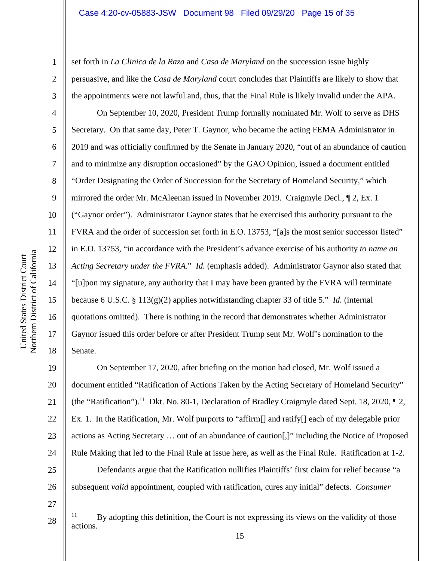set forth in *La Clinica de la Raza* and *Casa de Maryland* on the succession issue highly persuasive, and like the *Casa de Maryland* court concludes that Plaintiffs are likely to show that the appointments were not lawful and, thus, that the Final Rule is likely invalid under the APA.

On September 10, 2020, President Trump formally nominated Mr. Wolf to serve as DHS Secretary. On that same day, Peter T. Gaynor, who became the acting FEMA Administrator in 2019 and was officially confirmed by the Senate in January 2020, "out of an abundance of caution and to minimize any disruption occasioned" by the GAO Opinion, issued a document entitled "Order Designating the Order of Succession for the Secretary of Homeland Security," which mirrored the order Mr. McAleenan issued in November 2019. Craigmyle Decl., ¶ 2, Ex. 1 ("Gaynor order"). Administrator Gaynor states that he exercised this authority pursuant to the FVRA and the order of succession set forth in E.O. 13753, "[a]s the most senior successor listed" in E.O. 13753, "in accordance with the President's advance exercise of his authority *to name an Acting Secretary under the FVRA*." *Id.* (emphasis added). Administrator Gaynor also stated that "[u]pon my signature, any authority that I may have been granted by the FVRA will terminate because 6 U.S.C. § 113(g)(2) applies notwithstanding chapter 33 of title 5." *Id.* (internal quotations omitted). There is nothing in the record that demonstrates whether Administrator Gaynor issued this order before or after President Trump sent Mr. Wolf's nomination to the Senate.

19 20 21 22 23 24 25 26 On September 17, 2020, after briefing on the motion had closed, Mr. Wolf issued a document entitled "Ratification of Actions Taken by the Acting Secretary of Homeland Security" (the "Ratification").<sup>11</sup> Dkt. No. 80-1, Declaration of Bradley Craigmyle dated Sept. 18, 2020,  $\P$  2, Ex. 1. In the Ratification, Mr. Wolf purports to "affirm[] and ratify[] each of my delegable prior actions as Acting Secretary … out of an abundance of caution[,]" including the Notice of Proposed Rule Making that led to the Final Rule at issue here, as well as the Final Rule. Ratification at 1-2. Defendants argue that the Ratification nullifies Plaintiffs' first claim for relief because "a subsequent *valid* appointment, coupled with ratification, cures any initial" defects. *Consumer* 

27

28

1

2

3

4

5

6

7

8

9

10

11

12

13

14

15

16

17

 $11$  By adopting this definition, the Court is not expressing its views on the validity of those actions.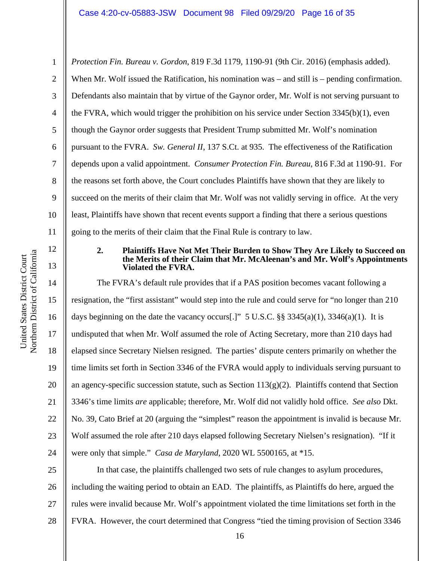1 2 3 4 5 6 7 8 9 10 11 *Protection Fin. Bureau v. Gordon*, 819 F.3d 1179, 1190-91 (9th Cir. 2016) (emphasis added). When Mr. Wolf issued the Ratification, his nomination was – and still is – pending confirmation. Defendants also maintain that by virtue of the Gaynor order, Mr. Wolf is not serving pursuant to the FVRA, which would trigger the prohibition on his service under Section 3345(b)(1), even though the Gaynor order suggests that President Trump submitted Mr. Wolf's nomination pursuant to the FVRA. *Sw. General II*, 137 S.Ct. at 935. The effectiveness of the Ratification depends upon a valid appointment. *Consumer Protection Fin. Bureau*, 816 F.3d at 1190-91. For the reasons set forth above, the Court concludes Plaintiffs have shown that they are likely to succeed on the merits of their claim that Mr. Wolf was not validly serving in office. At the very least, Plaintiffs have shown that recent events support a finding that there a serious questions going to the merits of their claim that the Final Rule is contrary to law.

### **2. Plaintiffs Have Not Met Their Burden to Show They Are Likely to Succeed on the Merits of their Claim that Mr. McAleenan's and Mr. Wolf's Appointments Violated the FVRA.**

14 15 16 17 18 19 20 21 22 23 24 The FVRA's default rule provides that if a PAS position becomes vacant following a resignation, the "first assistant" would step into the rule and could serve for "no longer than 210 days beginning on the date the vacancy occurs[.]"  $5 \text{ U.S.C. }$  \$  $3345(a)(1)$ ,  $3346(a)(1)$ . It is undisputed that when Mr. Wolf assumed the role of Acting Secretary, more than 210 days had elapsed since Secretary Nielsen resigned. The parties' dispute centers primarily on whether the time limits set forth in Section 3346 of the FVRA would apply to individuals serving pursuant to an agency-specific succession statute, such as Section 113(g)(2). Plaintiffs contend that Section 3346's time limits *are* applicable; therefore, Mr. Wolf did not validly hold office. *See also* Dkt. No. 39, Cato Brief at 20 (arguing the "simplest" reason the appointment is invalid is because Mr. Wolf assumed the role after 210 days elapsed following Secretary Nielsen's resignation). "If it were only that simple." *Casa de Maryland*, 2020 WL 5500165, at \*15.

25 26 27 28 In that case, the plaintiffs challenged two sets of rule changes to asylum procedures, including the waiting period to obtain an EAD. The plaintiffs, as Plaintiffs do here, argued the rules were invalid because Mr. Wolf's appointment violated the time limitations set forth in the FVRA. However, the court determined that Congress "tied the timing provision of Section 3346

12

13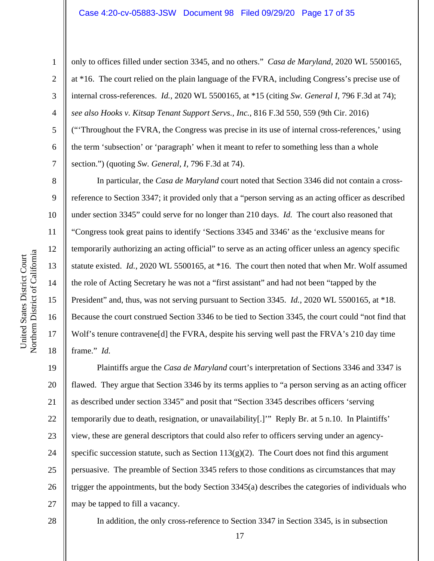2

3

4

5

6

7

8

9

10

11

12

13

14

15

16

17

18

only to offices filled under section 3345, and no others." *Casa de Maryland*, 2020 WL 5500165, at \*16. The court relied on the plain language of the FVRA, including Congress's precise use of internal cross-references. *Id.*, 2020 WL 5500165, at \*15 (citing *Sw. General I*, 796 F.3d at 74); *see also Hooks v. Kitsap Tenant Support Servs., Inc.*, 816 F.3d 550, 559 (9th Cir. 2016) ("'Throughout the FVRA, the Congress was precise in its use of internal cross-references,' using the term 'subsection' or 'paragraph' when it meant to refer to something less than a whole section.") (quoting *Sw. General, I*, 796 F.3d at 74).

In particular, the *Casa de Maryland* court noted that Section 3346 did not contain a crossreference to Section 3347; it provided only that a "person serving as an acting officer as described under section 3345" could serve for no longer than 210 days. *Id.* The court also reasoned that "Congress took great pains to identify 'Sections 3345 and 3346' as the 'exclusive means for temporarily authorizing an acting official" to serve as an acting officer unless an agency specific statute existed. *Id.*, 2020 WL 5500165, at \*16. The court then noted that when Mr. Wolf assumed the role of Acting Secretary he was not a "first assistant" and had not been "tapped by the President" and, thus, was not serving pursuant to Section 3345. *Id.*, 2020 WL 5500165, at \*18. Because the court construed Section 3346 to be tied to Section 3345, the court could "not find that Wolf's tenure contravene[d] the FVRA, despite his serving well past the FRVA's 210 day time frame." *Id.*

19 20 21 22 23 24 25 26 27 Plaintiffs argue the *Casa de Maryland* court's interpretation of Sections 3346 and 3347 is flawed. They argue that Section 3346 by its terms applies to "a person serving as an acting officer as described under section 3345" and posit that "Section 3345 describes officers 'serving temporarily due to death, resignation, or unavailability[.]'" Reply Br. at 5 n.10. In Plaintiffs' view, these are general descriptors that could also refer to officers serving under an agencyspecific succession statute, such as Section  $113(g)(2)$ . The Court does not find this argument persuasive. The preamble of Section 3345 refers to those conditions as circumstances that may trigger the appointments, but the body Section 3345(a) describes the categories of individuals who may be tapped to fill a vacancy.

28

In addition, the only cross-reference to Section 3347 in Section 3345, is in subsection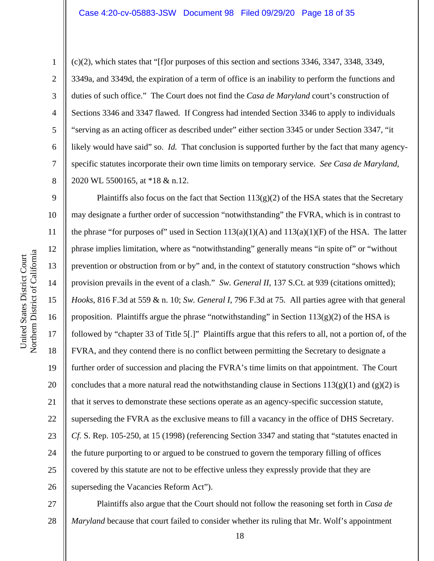11 12 13

1

2

3

4

5

6

7

8

(c)(2), which states that "[f]or purposes of this section and sections 3346, 3347, 3348, 3349, 3349a, and 3349d, the expiration of a term of office is an inability to perform the functions and duties of such office." The Court does not find the *Casa de Maryland* court's construction of Sections 3346 and 3347 flawed. If Congress had intended Section 3346 to apply to individuals "serving as an acting officer as described under" either section 3345 or under Section 3347, "it likely would have said" so. *Id.* That conclusion is supported further by the fact that many agencyspecific statutes incorporate their own time limits on temporary service. *See Casa de Maryland*, 2020 WL 5500165, at \*18 & n.12.

9 10 14 15 16 17 18 19 20 21 22 23 24 25 26 Plaintiffs also focus on the fact that Section  $113(g)(2)$  of the HSA states that the Secretary may designate a further order of succession "notwithstanding" the FVRA, which is in contrast to the phrase "for purposes of" used in Section  $113(a)(1)(A)$  and  $113(a)(1)(F)$  of the HSA. The latter phrase implies limitation, where as "notwithstanding" generally means "in spite of" or "without prevention or obstruction from or by" and, in the context of statutory construction "shows which provision prevails in the event of a clash." *Sw. General II*, 137 S.Ct. at 939 (citations omitted); *Hooks*, 816 F.3d at 559 & n. 10; *Sw. General I*, 796 F.3d at 75. All parties agree with that general proposition. Plaintiffs argue the phrase "notwithstanding" in Section  $113(g)(2)$  of the HSA is followed by "chapter 33 of Title 5[.]" Plaintiffs argue that this refers to all, not a portion of, of the FVRA, and they contend there is no conflict between permitting the Secretary to designate a further order of succession and placing the FVRA's time limits on that appointment. The Court concludes that a more natural read the notwithstanding clause in Sections  $113(g)(1)$  and  $(g)(2)$  is that it serves to demonstrate these sections operate as an agency-specific succession statute, superseding the FVRA as the exclusive means to fill a vacancy in the office of DHS Secretary. *Cf.* S. Rep. 105-250, at 15 (1998) (referencing Section 3347 and stating that "statutes enacted in the future purporting to or argued to be construed to govern the temporary filling of offices covered by this statute are not to be effective unless they expressly provide that they are superseding the Vacancies Reform Act").

27 28 Plaintiffs also argue that the Court should not follow the reasoning set forth in *Casa de Maryland* because that court failed to consider whether its ruling that Mr. Wolf's appointment

a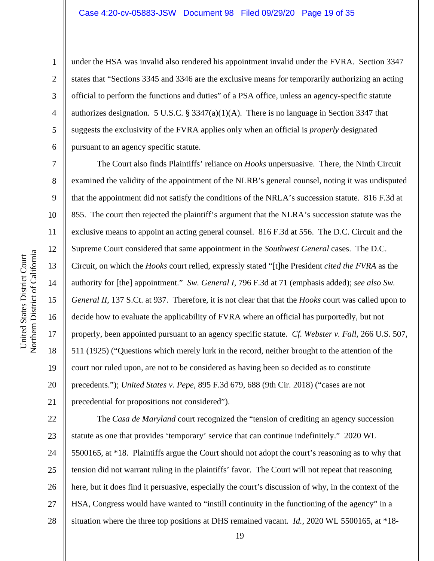2

3

4

5

6

7

8

9

under the HSA was invalid also rendered his appointment invalid under the FVRA. Section 3347 states that "Sections 3345 and 3346 are the exclusive means for temporarily authorizing an acting official to perform the functions and duties" of a PSA office, unless an agency-specific statute authorizes designation. 5 U.S.C. § 3347(a)(1)(A). There is no language in Section 3347 that suggests the exclusivity of the FVRA applies only when an official is *properly* designated pursuant to an agency specific statute.

The Court also finds Plaintiffs' reliance on *Hooks* unpersuasive. There, the Ninth Circuit examined the validity of the appointment of the NLRB's general counsel, noting it was undisputed that the appointment did not satisfy the conditions of the NRLA's succession statute. 816 F.3d at 855. The court then rejected the plaintiff's argument that the NLRA's succession statute was the exclusive means to appoint an acting general counsel. 816 F.3d at 556. The D.C. Circuit and the Supreme Court considered that same appointment in the *Southwest General* cases. The D.C. Circuit, on which the *Hooks* court relied, expressly stated "[t]he President *cited the FVRA* as the authority for [the] appointment." *Sw. General I*, 796 F.3d at 71 (emphasis added); *see also Sw. General II*, 137 S.Ct. at 937. Therefore, it is not clear that that the *Hooks* court was called upon to decide how to evaluate the applicability of FVRA where an official has purportedly, but not properly, been appointed pursuant to an agency specific statute. *Cf. Webster v. Fall*, 266 U.S. 507, 511 (1925) ("Questions which merely lurk in the record, neither brought to the attention of the court nor ruled upon, are not to be considered as having been so decided as to constitute precedents."); *United States v. Pepe*, 895 F.3d 679, 688 (9th Cir. 2018) ("cases are not precedential for propositions not considered").

22 23 24 25 26 27 28 The *Casa de Maryland* court recognized the "tension of crediting an agency succession statute as one that provides 'temporary' service that can continue indefinitely." 2020 WL 5500165, at \*18. Plaintiffs argue the Court should not adopt the court's reasoning as to why that tension did not warrant ruling in the plaintiffs' favor. The Court will not repeat that reasoning here, but it does find it persuasive, especially the court's discussion of why, in the context of the HSA, Congress would have wanted to "instill continuity in the functioning of the agency" in a situation where the three top positions at DHS remained vacant. *Id.*, 2020 WL 5500165, at \*18-

19

a United States District Court United States District Court Northern District of Californi

18

19

20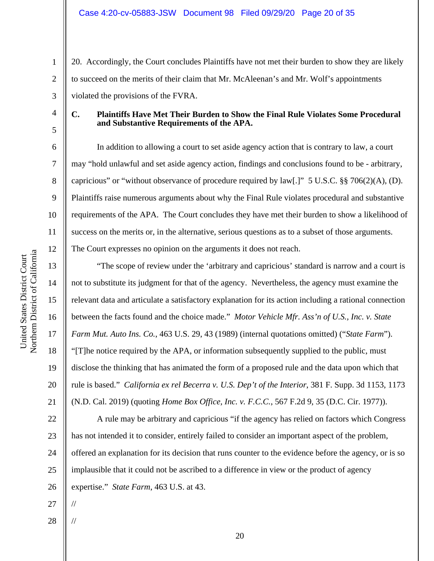20. Accordingly, the Court concludes Plaintiffs have not met their burden to show they are likely to succeed on the merits of their claim that Mr. McAleenan's and Mr. Wolf's appointments violated the provisions of the FVRA.

4

1

2

3

5

6

7

8

9

10

11

12

13

14

15

16

17

18

19

20

21

#### **C. Plaintiffs Have Met Their Burden to Show the Final Rule Violates Some Procedural and Substantive Requirements of the APA.**

In addition to allowing a court to set aside agency action that is contrary to law, a court may "hold unlawful and set aside agency action, findings and conclusions found to be - arbitrary, capricious" or "without observance of procedure required by  $\text{law}[\cdot]$ " 5 U.S.C. §§ 706(2)(A), (D). Plaintiffs raise numerous arguments about why the Final Rule violates procedural and substantive requirements of the APA. The Court concludes they have met their burden to show a likelihood of success on the merits or, in the alternative, serious questions as to a subset of those arguments. The Court expresses no opinion on the arguments it does not reach.

"The scope of review under the 'arbitrary and capricious' standard is narrow and a court is not to substitute its judgment for that of the agency. Nevertheless, the agency must examine the relevant data and articulate a satisfactory explanation for its action including a rational connection between the facts found and the choice made." *Motor Vehicle Mfr. Ass'n of U.S., Inc. v. State Farm Mut. Auto Ins. Co.*, 463 U.S. 29, 43 (1989) (internal quotations omitted) ("*State Farm*"). "[T]he notice required by the APA, or information subsequently supplied to the public, must disclose the thinking that has animated the form of a proposed rule and the data upon which that rule is based." *California ex rel Becerra v. U.S. Dep't of the Interior*, 381 F. Supp. 3d 1153, 1173 (N.D. Cal. 2019) (quoting *Home Box Office, Inc. v. F.C.C.*, 567 F.2d 9, 35 (D.C. Cir. 1977)).

22 23 24 25 26 A rule may be arbitrary and capricious "if the agency has relied on factors which Congress has not intended it to consider, entirely failed to consider an important aspect of the problem, offered an explanation for its decision that runs counter to the evidence before the agency, or is so implausible that it could not be ascribed to a difference in view or the product of agency expertise." *State Farm*, 463 U.S. at 43.

27

//

//

28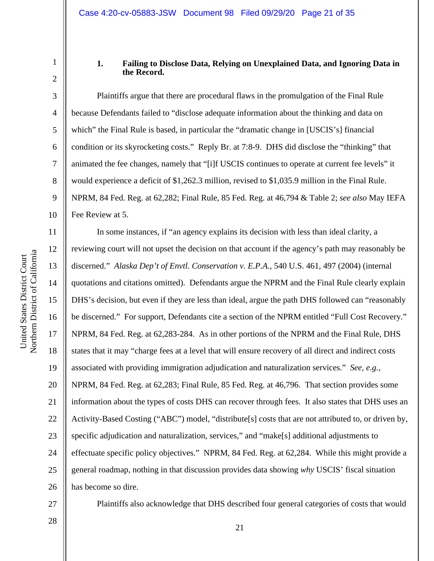4

5

6

7

8

9

10

11

12

13

14

15

16

17

18

19

20

21

22

23

24

25

1

### **1. Failing to Disclose Data, Relying on Unexplained Data, and Ignoring Data in the Record.**

Plaintiffs argue that there are procedural flaws in the promulgation of the Final Rule because Defendants failed to "disclose adequate information about the thinking and data on which" the Final Rule is based, in particular the "dramatic change in [USCIS's] financial condition or its skyrocketing costs." Reply Br. at 7:8-9. DHS did disclose the "thinking" that animated the fee changes, namely that "[i]f USCIS continues to operate at current fee levels" it would experience a deficit of \$1,262.3 million, revised to \$1,035.9 million in the Final Rule. NPRM, 84 Fed. Reg. at 62,282; Final Rule, 85 Fed. Reg. at 46,794 & Table 2; *see also* May IEFA Fee Review at 5.

26 In some instances, if "an agency explains its decision with less than ideal clarity, a reviewing court will not upset the decision on that account if the agency's path may reasonably be discerned." *Alaska Dep't of Envtl. Conservation v. E.P.A.*, 540 U.S. 461, 497 (2004) (internal quotations and citations omitted). Defendants argue the NPRM and the Final Rule clearly explain DHS's decision, but even if they are less than ideal, argue the path DHS followed can "reasonably be discerned." For support, Defendants cite a section of the NPRM entitled "Full Cost Recovery." NPRM, 84 Fed. Reg. at 62,283-284. As in other portions of the NPRM and the Final Rule, DHS states that it may "charge fees at a level that will ensure recovery of all direct and indirect costs associated with providing immigration adjudication and naturalization services." *See, e.g.,* NPRM, 84 Fed. Reg. at 62,283; Final Rule, 85 Fed. Reg. at 46,796. That section provides some information about the types of costs DHS can recover through fees. It also states that DHS uses an Activity-Based Costing ("ABC") model, "distribute[s] costs that are not attributed to, or driven by, specific adjudication and naturalization, services," and "make[s] additional adjustments to effectuate specific policy objectives." NPRM, 84 Fed. Reg. at 62,284. While this might provide a general roadmap, nothing in that discussion provides data showing *why* USCIS' fiscal situation has become so dire.

27 28 Plaintiffs also acknowledge that DHS described four general categories of costs that would

21

a United States District Court United States District Court Northern District of Californi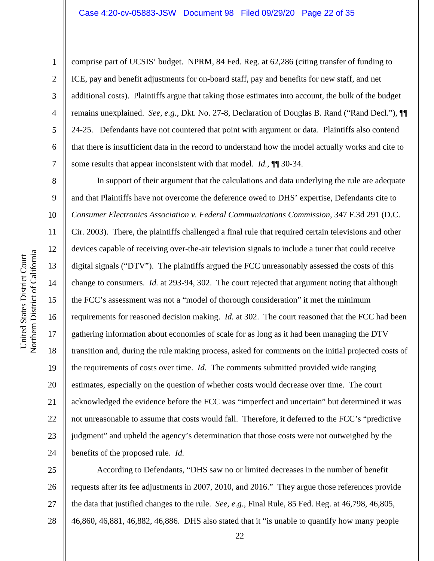comprise part of UCSIS' budget. NPRM, 84 Fed. Reg. at 62,286 (citing transfer of funding to ICE, pay and benefit adjustments for on-board staff, pay and benefits for new staff, and net additional costs). Plaintiffs argue that taking those estimates into account, the bulk of the budget remains unexplained. *See, e.g.,* Dkt. No. 27-8, Declaration of Douglas B. Rand ("Rand Decl."), ¶¶ 24-25. Defendants have not countered that point with argument or data. Plaintiffs also contend that there is insufficient data in the record to understand how the model actually works and cite to some results that appear inconsistent with that model. *Id.*, ¶¶ 30-34.

10 16 20 21 22 24 In support of their argument that the calculations and data underlying the rule are adequate and that Plaintiffs have not overcome the deference owed to DHS' expertise, Defendants cite to *Consumer Electronics Association v. Federal Communications Commission*, 347 F.3d 291 (D.C. Cir. 2003). There, the plaintiffs challenged a final rule that required certain televisions and other devices capable of receiving over-the-air television signals to include a tuner that could receive digital signals ("DTV"). The plaintiffs argued the FCC unreasonably assessed the costs of this change to consumers. *Id.* at 293-94, 302. The court rejected that argument noting that although the FCC's assessment was not a "model of thorough consideration" it met the minimum requirements for reasoned decision making. *Id.* at 302. The court reasoned that the FCC had been gathering information about economies of scale for as long as it had been managing the DTV transition and, during the rule making process, asked for comments on the initial projected costs of the requirements of costs over time. *Id.* The comments submitted provided wide ranging estimates, especially on the question of whether costs would decrease over time. The court acknowledged the evidence before the FCC was "imperfect and uncertain" but determined it was not unreasonable to assume that costs would fall. Therefore, it deferred to the FCC's "predictive judgment" and upheld the agency's determination that those costs were not outweighed by the benefits of the proposed rule. *Id.*

25 26 27 28 According to Defendants, "DHS saw no or limited decreases in the number of benefit requests after its fee adjustments in 2007, 2010, and 2016." They argue those references provide the data that justified changes to the rule. *See, e.g.,* Final Rule, 85 Fed. Reg. at 46,798, 46,805, 46,860, 46,881, 46,882, 46,886. DHS also stated that it "is unable to quantify how many people

1

2

3

4

5

6

7

8

9

11

12

13

14

15

17

18

19

23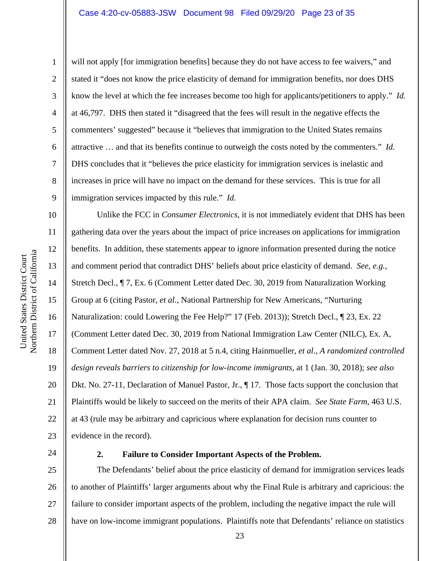will not apply [for immigration benefits] because they do not have access to fee waivers," and stated it "does not know the price elasticity of demand for immigration benefits, nor does DHS know the level at which the fee increases become too high for applicants/petitioners to apply." *Id.* at 46,797. DHS then stated it "disagreed that the fees will result in the negative effects the commenters' suggested" because it "believes that immigration to the United States remains attractive … and that its benefits continue to outweigh the costs noted by the commenters." *Id.*  DHS concludes that it "believes the price elasticity for immigration services is inelastic and increases in price will have no impact on the demand for these services. This is true for all immigration services impacted by this rule." *Id.*

Unlike the FCC in *Consumer Electronics*, it is not immediately evident that DHS has been gathering data over the years about the impact of price increases on applications for immigration benefits. In addition, these statements appear to ignore information presented during the notice and comment period that contradict DHS' beliefs about price elasticity of demand. *See, e.g.,*  Stretch Decl., ¶ 7, Ex. 6 (Comment Letter dated Dec. 30, 2019 from Naturalization Working Group at 6 (citing Pastor, *et al.*, National Partnership for New Americans, "Nurturing Naturalization: could Lowering the Fee Help?" 17 (Feb. 2013)); Stretch Decl., ¶ 23, Ex. 22 (Comment Letter dated Dec. 30, 2019 from National Immigration Law Center (NILC), Ex. A, Comment Letter dated Nov. 27, 2018 at 5 n.4, citing Hainmueller*, et al.*, *A randomized controlled design reveals barriers to citizenship for low-income immigrants*, at 1 (Jan. 30, 2018); *see also* Dkt. No. 27-11, Declaration of Manuel Pastor, Jr.,  $\P$  17. Those facts support the conclusion that Plaintiffs would be likely to succeed on the merits of their APA claim. *See State Farm*, 463 U.S. at 43 (rule may be arbitrary and capricious where explanation for decision runs counter to evidence in the record).

24

### **2. Failure to Consider Important Aspects of the Problem.**

25 26 27 28 The Defendants' belief about the price elasticity of demand for immigration services leads to another of Plaintiffs' larger arguments about why the Final Rule is arbitrary and capricious: the failure to consider important aspects of the problem, including the negative impact the rule will have on low-income immigrant populations. Plaintiffs note that Defendants' reliance on statistics

1

2

3

4

5

6

7

8

9

10

11

12

13

14

15

16

17

18

19

20

21

22

23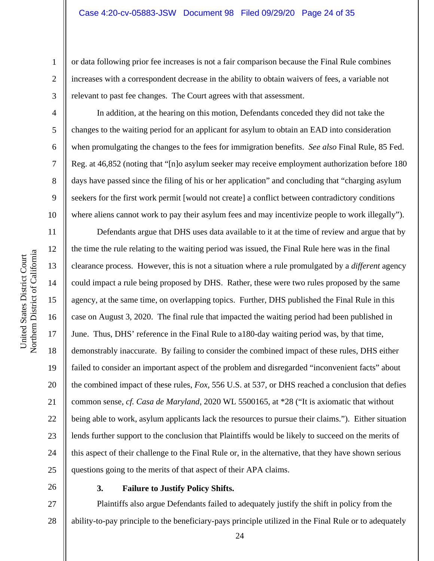or data following prior fee increases is not a fair comparison because the Final Rule combines increases with a correspondent decrease in the ability to obtain waivers of fees, a variable not relevant to past fee changes. The Court agrees with that assessment.

In addition, at the hearing on this motion, Defendants conceded they did not take the changes to the waiting period for an applicant for asylum to obtain an EAD into consideration when promulgating the changes to the fees for immigration benefits. *See also* Final Rule, 85 Fed. Reg. at 46,852 (noting that "[n]o asylum seeker may receive employment authorization before 180 days have passed since the filing of his or her application" and concluding that "charging asylum seekers for the first work permit [would not create] a conflict between contradictory conditions where aliens cannot work to pay their asylum fees and may incentivize people to work illegally").

16 20 Defendants argue that DHS uses data available to it at the time of review and argue that by the time the rule relating to the waiting period was issued, the Final Rule here was in the final clearance process. However, this is not a situation where a rule promulgated by a *different* agency could impact a rule being proposed by DHS. Rather, these were two rules proposed by the same agency, at the same time, on overlapping topics. Further, DHS published the Final Rule in this case on August 3, 2020. The final rule that impacted the waiting period had been published in June. Thus, DHS' reference in the Final Rule to a180-day waiting period was, by that time, demonstrably inaccurate. By failing to consider the combined impact of these rules, DHS either failed to consider an important aspect of the problem and disregarded "inconvenient facts" about the combined impact of these rules, *Fox,* 556 U.S. at 537, or DHS reached a conclusion that defies common sense, *cf. Casa de Maryland,* 2020 WL 5500165, at \*28 ("It is axiomatic that without being able to work, asylum applicants lack the resources to pursue their claims."). Either situation lends further support to the conclusion that Plaintiffs would be likely to succeed on the merits of this aspect of their challenge to the Final Rule or, in the alternative, that they have shown serious questions going to the merits of that aspect of their APA claims.

26

25

### **3. Failure to Justify Policy Shifts.**

27 28 Plaintiffs also argue Defendants failed to adequately justify the shift in policy from the ability-to-pay principle to the beneficiary-pays principle utilized in the Final Rule or to adequately

a

1

2

3

4

5

6

7

8

9

10

11

12

13

14

15

17

18

19

21

22

23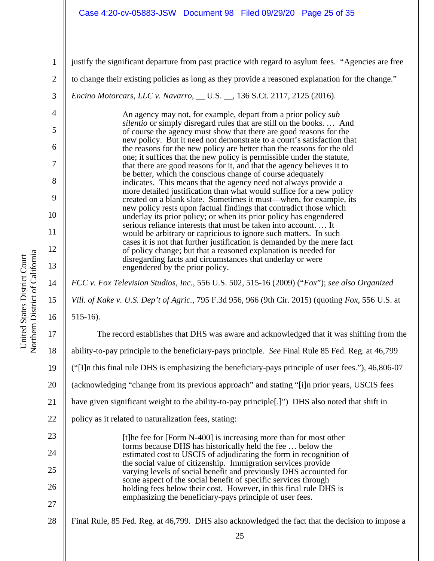### Case 4:20-cv-05883-JSW Document 98 Filed 09/29/20 Page 25 of 35

justify the significant departure from past practice with regard to asylum fees. "Agencies are free

to change their existing policies as long as they provide a reasoned explanation for the change."

*Encino Motorcars, LLC v. Navarro*, \_\_ U.S. \_\_, 136 S.Ct. 2117, 2125 (2016).

An agency may not, for example, depart from a prior policy *sub silentio* or simply disregard rules that are still on the books. … And of course the agency must show that there are good reasons for the new policy. But it need not demonstrate to a court's satisfaction that the reasons for the new policy are better than the reasons for the old one; it suffices that the new policy is permissible under the statute, that there are good reasons for it, and that the agency believes it to be better, which the conscious change of course adequately indicates. This means that the agency need not always provide a more detailed justification than what would suffice for a new policy created on a blank slate. Sometimes it must—when, for example, its new policy rests upon factual findings that contradict those which underlay its prior policy; or when its prior policy has engendered serious reliance interests that must be taken into account. … It would be arbitrary or capricious to ignore such matters. In such cases it is not that further justification is demanded by the mere fact of policy change; but that a reasoned explanation is needed for disregarding facts and circumstances that underlay or were engendered by the prior policy.

*FCC v. Fox Television Studios, Inc.*, 556 U.S. 502, 515-16 (2009) ("*Fox*"); *see also Organized Vill. of Kake v. U.S. Dep't of Agric.*, 795 F.3d 956, 966 (9th Cir. 2015) (quoting *Fox,* 556 U.S. at

515-16).

17 18 19 20 21 22 23 24 25 26 27 28 The record establishes that DHS was aware and acknowledged that it was shifting from the ability-to-pay principle to the beneficiary-pays principle*. See* Final Rule 85 Fed. Reg. at 46,799 ("[I]n this final rule DHS is emphasizing the beneficiary-pays principle of user fees."), 46,806-07 (acknowledging "change from its previous approach" and stating "[i]n prior years, USCIS fees have given significant weight to the ability-to-pay principle[.]") DHS also noted that shift in policy as it related to naturalization fees, stating: [t]he fee for [Form N-400] is increasing more than for most other forms because DHS has historically held the fee … below the estimated cost to USCIS of adjudicating the form in recognition of the social value of citizenship. Immigration services provide varying levels of social benefit and previously DHS accounted for some aspect of the social benefit of specific services through holding fees below their cost. However, in this final rule DHS is emphasizing the beneficiary-pays principle of user fees. Final Rule, 85 Fed. Reg. at 46,799. DHS also acknowledged the fact that the decision to impose a

a United States District Court United States District Court Northern District of Californi

1

2

3

4

5

6

7

8

9

10

11

12

13

14

15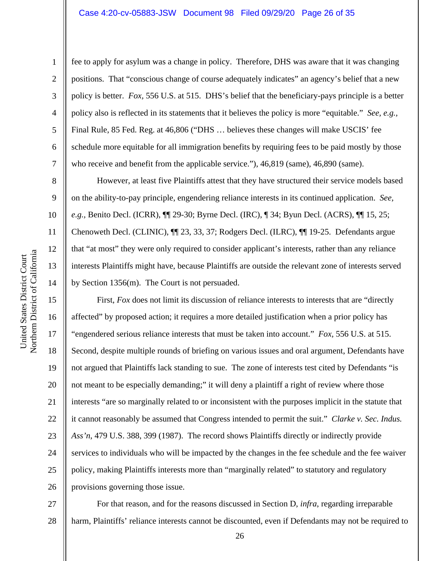#### Case 4:20-cv-05883-JSW Document 98 Filed 09/29/20 Page 26 of 35

fee to apply for asylum was a change in policy. Therefore, DHS was aware that it was changing positions. That "conscious change of course adequately indicates" an agency's belief that a new policy is better. *Fox,* 556 U.S. at 515. DHS's belief that the beneficiary-pays principle is a better policy also is reflected in its statements that it believes the policy is more "equitable." *See, e.g.,*  Final Rule, 85 Fed. Reg. at 46,806 ("DHS … believes these changes will make USCIS' fee schedule more equitable for all immigration benefits by requiring fees to be paid mostly by those who receive and benefit from the applicable service."), 46,819 (same), 46,890 (same). However, at least five Plaintiffs attest that they have structured their service models based

on the ability-to-pay principle, engendering reliance interests in its continued application. *See, e.g.,* Benito Decl. (ICRR), ¶¶ 29-30; Byrne Decl. (IRC), ¶ 34; Byun Decl. (ACRS), ¶¶ 15, 25; Chenoweth Decl. (CLINIC), ¶¶ 23, 33, 37; Rodgers Decl. (ILRC), ¶¶ 19-25. Defendants argue that "at most" they were only required to consider applicant's interests, rather than any reliance interests Plaintiffs might have, because Plaintiffs are outside the relevant zone of interests served by Section 1356(m). The Court is not persuaded.

First, *Fox* does not limit its discussion of reliance interests to interests that are "directly affected" by proposed action; it requires a more detailed justification when a prior policy has "engendered serious reliance interests that must be taken into account." *Fox,* 556 U.S. at 515. Second, despite multiple rounds of briefing on various issues and oral argument, Defendants have not argued that Plaintiffs lack standing to sue. The zone of interests test cited by Defendants "is not meant to be especially demanding;" it will deny a plaintiff a right of review where those interests "are so marginally related to or inconsistent with the purposes implicit in the statute that it cannot reasonably be assumed that Congress intended to permit the suit." *Clarke v. Sec. Indus. Ass'n*, 479 U.S. 388, 399 (1987). The record shows Plaintiffs directly or indirectly provide services to individuals who will be impacted by the changes in the fee schedule and the fee waiver policy, making Plaintiffs interests more than "marginally related" to statutory and regulatory provisions governing those issue.

27 28 For that reason, and for the reasons discussed in Section D, *infra*, regarding irreparable harm, Plaintiffs' reliance interests cannot be discounted, even if Defendants may not be required to

1

2

3

4

5

6

7

8

9

10

11

12

13

14

15

16

17

18

19

20

21

22

23

24

25

26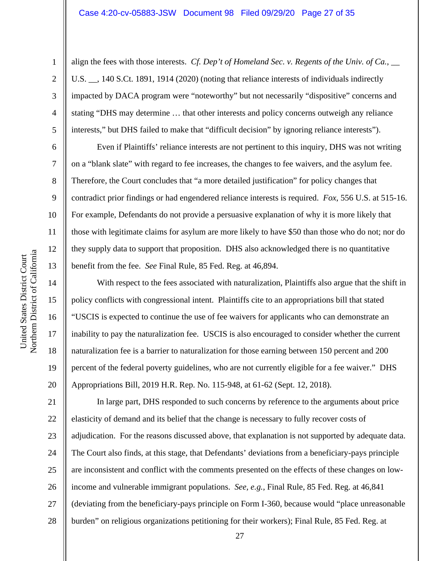align the fees with those interests. *Cf. Dep't of Homeland Sec. v. Regents of the Univ. of Ca.*,  $\qquad$ U.S.  $\_\_$ , 140 S.Ct. 1891, 1914 (2020) (noting that reliance interests of individuals indirectly impacted by DACA program were "noteworthy" but not necessarily "dispositive" concerns and stating "DHS may determine … that other interests and policy concerns outweigh any reliance interests," but DHS failed to make that "difficult decision" by ignoring reliance interests").

Even if Plaintiffs' reliance interests are not pertinent to this inquiry, DHS was not writing on a "blank slate" with regard to fee increases, the changes to fee waivers, and the asylum fee. Therefore, the Court concludes that "a more detailed justification" for policy changes that contradict prior findings or had engendered reliance interests is required. *Fox*, 556 U.S. at 515-16. For example, Defendants do not provide a persuasive explanation of why it is more likely that those with legitimate claims for asylum are more likely to have \$50 than those who do not; nor do they supply data to support that proposition. DHS also acknowledged there is no quantitative benefit from the fee. *See* Final Rule, 85 Fed. Reg. at 46,894.

With respect to the fees associated with naturalization, Plaintiffs also argue that the shift in policy conflicts with congressional intent. Plaintiffs cite to an appropriations bill that stated "USCIS is expected to continue the use of fee waivers for applicants who can demonstrate an inability to pay the naturalization fee. USCIS is also encouraged to consider whether the current naturalization fee is a barrier to naturalization for those earning between 150 percent and 200 percent of the federal poverty guidelines, who are not currently eligible for a fee waiver." DHS Appropriations Bill, 2019 H.R. Rep. No. 115-948, at 61-62 (Sept. 12, 2018).

21 22 23 24 25 26 27 28 In large part, DHS responded to such concerns by reference to the arguments about price elasticity of demand and its belief that the change is necessary to fully recover costs of adjudication. For the reasons discussed above, that explanation is not supported by adequate data. The Court also finds, at this stage, that Defendants' deviations from a beneficiary-pays principle are inconsistent and conflict with the comments presented on the effects of these changes on lowincome and vulnerable immigrant populations. *See, e.g.,* Final Rule, 85 Fed. Reg. at 46,841 (deviating from the beneficiary-pays principle on Form I-360, because would "place unreasonable burden" on religious organizations petitioning for their workers); Final Rule, 85 Fed. Reg. at

1

2

3

4

5

6

7

8

9

10

11

12

13

14

15

16

17

18

19

20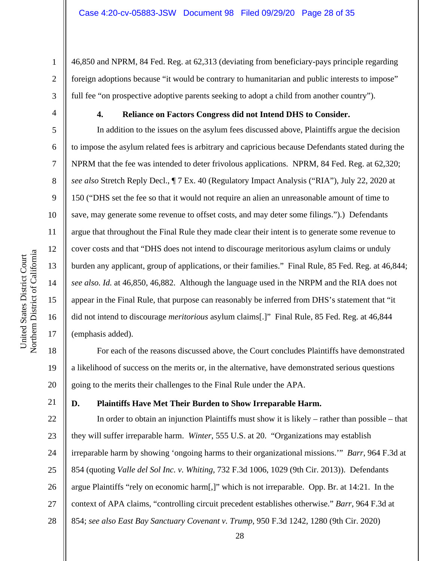46,850 and NPRM, 84 Fed. Reg. at 62,313 (deviating from beneficiary-pays principle regarding foreign adoptions because "it would be contrary to humanitarian and public interests to impose" full fee "on prospective adoptive parents seeking to adopt a child from another country").

1

2

3

4

5

6

7

8

9

10

11

12

13

14

15

16

17

18

19

20

## **4. Reliance on Factors Congress did not Intend DHS to Consider.**

In addition to the issues on the asylum fees discussed above, Plaintiffs argue the decision to impose the asylum related fees is arbitrary and capricious because Defendants stated during the NPRM that the fee was intended to deter frivolous applications. NPRM, 84 Fed. Reg. at 62,320; *see also* Stretch Reply Decl., ¶ 7 Ex. 40 (Regulatory Impact Analysis ("RIA"), July 22, 2020 at 150 ("DHS set the fee so that it would not require an alien an unreasonable amount of time to save, may generate some revenue to offset costs, and may deter some filings.").) Defendants argue that throughout the Final Rule they made clear their intent is to generate some revenue to cover costs and that "DHS does not intend to discourage meritorious asylum claims or unduly burden any applicant, group of applications, or their families." Final Rule, 85 Fed. Reg. at 46,844; *see also. Id.* at 46,850, 46,882. Although the language used in the NRPM and the RIA does not appear in the Final Rule, that purpose can reasonably be inferred from DHS's statement that "it did not intend to discourage *meritorious* asylum claims[.]" Final Rule, 85 Fed. Reg. at 46,844 (emphasis added).

For each of the reasons discussed above, the Court concludes Plaintiffs have demonstrated a likelihood of success on the merits or, in the alternative, have demonstrated serious questions going to the merits their challenges to the Final Rule under the APA.

## 21

## **D. Plaintiffs Have Met Their Burden to Show Irreparable Harm.**

22 23 24 25 26 27 28 In order to obtain an injunction Plaintiffs must show it is likely – rather than possible – that they will suffer irreparable harm. *Winter*, 555 U.S. at 20. "Organizations may establish irreparable harm by showing 'ongoing harms to their organizational missions.'" *Barr*, 964 F.3d at 854 (quoting *Valle del Sol Inc. v. Whiting*, 732 F.3d 1006, 1029 (9th Cir. 2013)). Defendants argue Plaintiffs "rely on economic harm[,]" which is not irreparable. Opp. Br. at 14:21. In the context of APA claims, "controlling circuit precedent establishes otherwise." *Barr*, 964 F.3d at 854; *see also East Bay Sanctuary Covenant v. Trump*, 950 F.3d 1242, 1280 (9th Cir. 2020)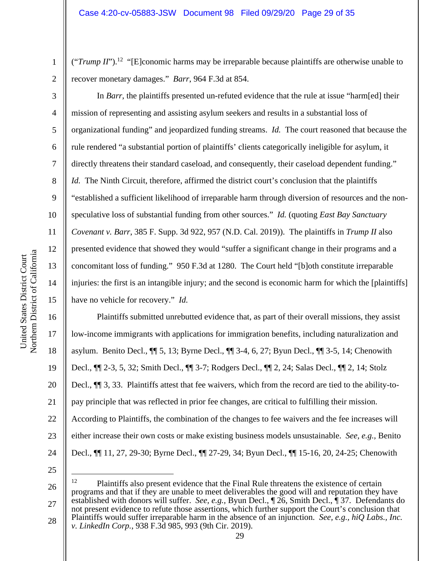(" $Trump II$ ").<sup>12</sup> "[E]conomic harms may be irreparable because plaintiffs are otherwise unable to recover monetary damages." *Barr*, 964 F.3d at 854.

2 3

4

5

6

7

8

9

10

11

12

13

14

15

1

In *Barr*, the plaintiffs presented un-refuted evidence that the rule at issue "harm[ed] their mission of representing and assisting asylum seekers and results in a substantial loss of organizational funding" and jeopardized funding streams. *Id.* The court reasoned that because the rule rendered "a substantial portion of plaintiffs' clients categorically ineligible for asylum, it directly threatens their standard caseload, and consequently, their caseload dependent funding." *Id.* The Ninth Circuit, therefore, affirmed the district court's conclusion that the plaintiffs "established a sufficient likelihood of irreparable harm through diversion of resources and the nonspeculative loss of substantial funding from other sources." *Id.* (quoting *East Bay Sanctuary Covenant v. Barr*, 385 F. Supp. 3d 922, 957 (N.D. Cal. 2019)). The plaintiffs in *Trump II* also presented evidence that showed they would "suffer a significant change in their programs and a concomitant loss of funding." 950 F.3d at 1280. The Court held "[b]oth constitute irreparable injuries: the first is an intangible injury; and the second is economic harm for which the [plaintiffs] have no vehicle for recovery." *Id.*

16 17 18 19 20 21 22 23 24 Plaintiffs submitted unrebutted evidence that, as part of their overall missions, they assist low-income immigrants with applications for immigration benefits, including naturalization and asylum. Benito Decl., ¶¶ 5, 13; Byrne Decl., ¶¶ 3-4, 6, 27; Byun Decl., ¶¶ 3-5, 14; Chenowith Decl., ¶¶ 2-3, 5, 32; Smith Decl., ¶¶ 3-7; Rodgers Decl., ¶¶ 2, 24; Salas Decl., ¶¶ 2, 14; Stolz Decl., ¶¶ 3, 33. Plaintiffs attest that fee waivers, which from the record are tied to the ability-topay principle that was reflected in prior fee changes, are critical to fulfilling their mission. According to Plaintiffs, the combination of the changes to fee waivers and the fee increases will either increase their own costs or make existing business models unsustainable. *See, e.g.,* Benito Decl., ¶¶ 11, 27, 29-30; Byrne Decl., ¶¶ 27-29, 34; Byun Decl., ¶¶ 15-16, 20, 24-25; Chenowith

<sup>26</sup>  27 28 <sup>12</sup> Plaintiffs also present evidence that the Final Rule threatens the existence of certain programs and that if they are unable to meet deliverables the good will and reputation they have established with donors will suffer. *See, e.g.,* Byun Decl., ¶ 26, Smith Decl., ¶ 37. Defendants do not present evidence to refute those assertions, which further support the Court's conclusion that Plaintiffs would suffer irreparable harm in the absence of an injunction. *See, e.g., hiQ Labs., Inc. v. LinkedIn Corp.*, 938 F.3d 985, 993 (9th Cir. 2019).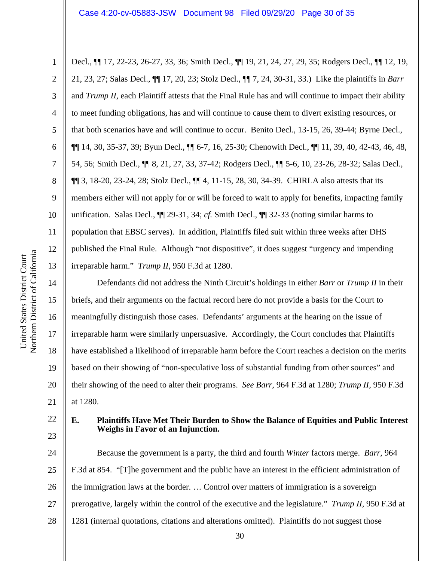2

3

4

5

6

7

8

9

10

11

12

13

22

23

Decl., ¶¶ 17, 22-23, 26-27, 33, 36; Smith Decl., ¶¶ 19, 21, 24, 27, 29, 35; Rodgers Decl., ¶¶ 12, 19, 21, 23, 27; Salas Decl., ¶¶ 17, 20, 23; Stolz Decl., ¶¶ 7, 24, 30-31, 33.) Like the plaintiffs in *Barr*  and *Trump II*, each Plaintiff attests that the Final Rule has and will continue to impact their ability to meet funding obligations, has and will continue to cause them to divert existing resources, or that both scenarios have and will continue to occur. Benito Decl., 13-15, 26, 39-44; Byrne Decl., ¶¶ 14, 30, 35-37, 39; Byun Decl., ¶¶ 6-7, 16, 25-30; Chenowith Decl., ¶¶ 11, 39, 40, 42-43, 46, 48, 54, 56; Smith Decl., ¶¶ 8, 21, 27, 33, 37-42; Rodgers Decl., ¶¶ 5-6, 10, 23-26, 28-32; Salas Decl., ¶¶ 3, 18-20, 23-24, 28; Stolz Decl., ¶¶ 4, 11-15, 28, 30, 34-39. CHIRLA also attests that its members either will not apply for or will be forced to wait to apply for benefits, impacting family unification. Salas Decl., ¶¶ 29-31, 34; *cf.* Smith Decl., ¶¶ 32-33 (noting similar harms to population that EBSC serves). In addition, Plaintiffs filed suit within three weeks after DHS published the Final Rule. Although "not dispositive", it does suggest "urgency and impending irreparable harm." *Trump II*, 950 F.3d at 1280.

14 15 16 17 18 19 20 21 Defendants did not address the Ninth Circuit's holdings in either *Barr* or *Trump II* in their briefs, and their arguments on the factual record here do not provide a basis for the Court to meaningfully distinguish those cases. Defendants' arguments at the hearing on the issue of irreparable harm were similarly unpersuasive. Accordingly, the Court concludes that Plaintiffs have established a likelihood of irreparable harm before the Court reaches a decision on the merits based on their showing of "non-speculative loss of substantial funding from other sources" and their showing of the need to alter their programs. *See Barr*, 964 F.3d at 1280; *Trump II*, 950 F.3d at 1280.

#### **E. Plaintiffs Have Met Their Burden to Show the Balance of Equities and Public Interest Weighs in Favor of an Injunction.**

24 25 26 27 28 Because the government is a party, the third and fourth *Winter* factors merge. *Barr*, 964 F.3d at 854. "[T]he government and the public have an interest in the efficient administration of the immigration laws at the border. … Control over matters of immigration is a sovereign prerogative, largely within the control of the executive and the legislature." *Trump II,* 950 F.3d at 1281 (internal quotations, citations and alterations omitted). Plaintiffs do not suggest those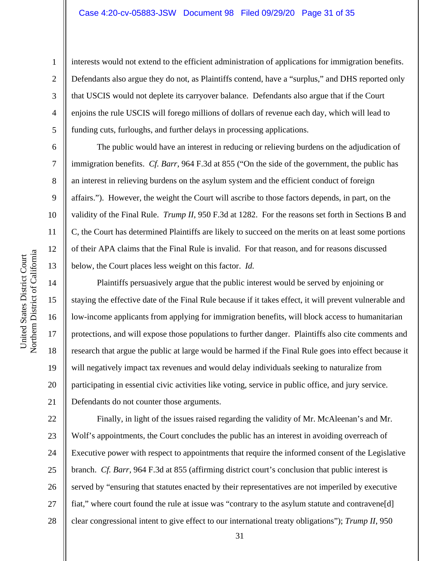#### Case 4:20-cv-05883-JSW Document 98 Filed 09/29/20 Page 31 of 35

interests would not extend to the efficient administration of applications for immigration benefits. Defendants also argue they do not, as Plaintiffs contend, have a "surplus," and DHS reported only that USCIS would not deplete its carryover balance. Defendants also argue that if the Court enjoins the rule USCIS will forego millions of dollars of revenue each day, which will lead to funding cuts, furloughs, and further delays in processing applications.

The public would have an interest in reducing or relieving burdens on the adjudication of immigration benefits. *Cf. Barr*, 964 F.3d at 855 ("On the side of the government, the public has an interest in relieving burdens on the asylum system and the efficient conduct of foreign affairs."). However, the weight the Court will ascribe to those factors depends, in part, on the validity of the Final Rule. *Trump II*, 950 F.3d at 1282. For the reasons set forth in Sections B and C, the Court has determined Plaintiffs are likely to succeed on the merits on at least some portions of their APA claims that the Final Rule is invalid. For that reason, and for reasons discussed below, the Court places less weight on this factor. *Id.*

Plaintiffs persuasively argue that the public interest would be served by enjoining or staying the effective date of the Final Rule because if it takes effect, it will prevent vulnerable and low-income applicants from applying for immigration benefits, will block access to humanitarian protections, and will expose those populations to further danger. Plaintiffs also cite comments and research that argue the public at large would be harmed if the Final Rule goes into effect because it will negatively impact tax revenues and would delay individuals seeking to naturalize from participating in essential civic activities like voting, service in public office, and jury service. Defendants do not counter those arguments.

22 23 24 25 26 27 28 Finally, in light of the issues raised regarding the validity of Mr. McAleenan's and Mr. Wolf's appointments, the Court concludes the public has an interest in avoiding overreach of Executive power with respect to appointments that require the informed consent of the Legislative branch. *Cf. Barr,* 964 F.3d at 855 (affirming district court's conclusion that public interest is served by "ensuring that statutes enacted by their representatives are not imperiled by executive fiat," where court found the rule at issue was "contrary to the asylum statute and contravene[d] clear congressional intent to give effect to our international treaty obligations"); *Trump II*, 950

1

2

3

4

5

6

7

8

9

10

11

12

13

14

15

16

17

18

19

20

21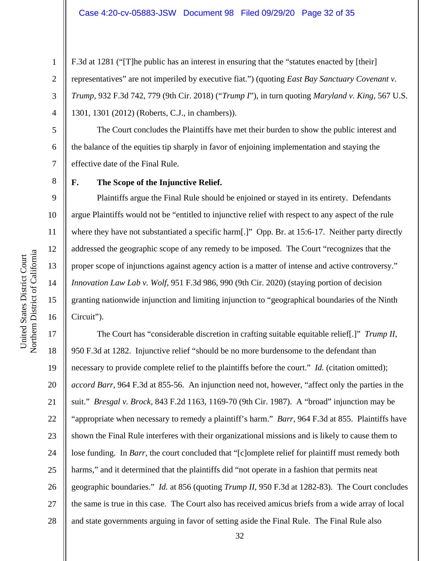F.3d at 1281 ("[T]he public has an interest in ensuring that the "statutes enacted by [their] representatives" are not imperiled by executive fiat.") (quoting *East Bay Sanctuary Covenant v. Trump,* 932 F.3d 742, 779 (9th Cir. 2018) ("*Trump I*"), in turn quoting *Maryland v. King*, 567 U.S. 1301, 1301 (2012) (Roberts, C.J., in chambers)).

The Court concludes the Plaintiffs have met their burden to show the public interest and the balance of the equities tip sharply in favor of enjoining implementation and staying the effective date of the Final Rule.

**F. The Scope of the Injunctive Relief.** 

Plaintiffs argue the Final Rule should be enjoined or stayed in its entirety. Defendants argue Plaintiffs would not be "entitled to injunctive relief with respect to any aspect of the rule where they have not substantiated a specific harm[.]" Opp. Br. at 15:6-17. Neither party directly addressed the geographic scope of any remedy to be imposed. The Court "recognizes that the proper scope of injunctions against agency action is a matter of intense and active controversy." *Innovation Law Lab v. Wolf,* 951 F.3d 986, 990 (9th Cir. 2020) (staying portion of decision granting nationwide injunction and limiting injunction to "geographical boundaries of the Ninth Circuit").

17 18 19 20 21 22 23 24 25 26 27 28 The Court has "considerable discretion in crafting suitable equitable relief[.]" *Trump II*, 950 F.3d at 1282. Injunctive relief "should be no more burdensome to the defendant than necessary to provide complete relief to the plaintiffs before the court." *Id.* (citation omitted); *accord Barr*, 964 F.3d at 855-56. An injunction need not, however, "affect only the parties in the suit." *Bresgal v. Brock*, 843 F.2d 1163, 1169-70 (9th Cir. 1987). A "broad" injunction may be "appropriate when necessary to remedy a plaintiff's harm." *Barr,* 964 F.3d at 855. Plaintiffs have shown the Final Rule interferes with their organizational missions and is likely to cause them to lose funding. In *Barr,* the court concluded that "[c]omplete relief for plaintiff must remedy both harms," and it determined that the plaintiffs did "not operate in a fashion that permits neat geographic boundaries." *Id.* at 856 (quoting *Trump II*, 950 F.3d at 1282-83). The Court concludes the same is true in this case. The Court also has received amicus briefs from a wide array of local and state governments arguing in favor of setting aside the Final Rule. The Final Rule also

1

2

3

4

5

6

7

8

9

10

11

12

13

14

15

16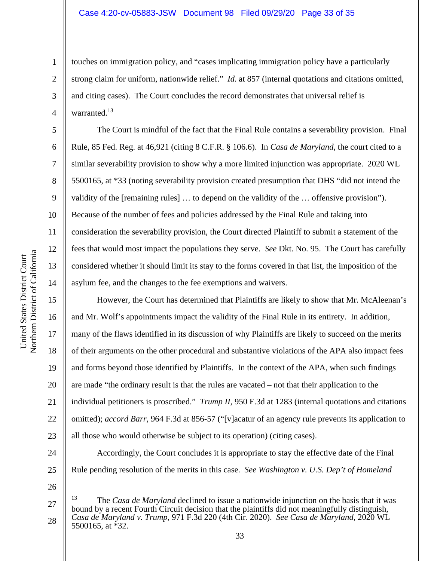touches on immigration policy, and "cases implicating immigration policy have a particularly strong claim for uniform, nationwide relief." *Id.* at 857 (internal quotations and citations omitted, and citing cases). The Court concludes the record demonstrates that universal relief is warranted.<sup>13</sup>

 The Court is mindful of the fact that the Final Rule contains a severability provision. Final Rule, 85 Fed. Reg. at 46,921 (citing 8 C.F.R. § 106.6). In *Casa de Maryland*, the court cited to a similar severability provision to show why a more limited injunction was appropriate. 2020 WL 5500165, at \*33 (noting severability provision created presumption that DHS "did not intend the validity of the [remaining rules] … to depend on the validity of the … offensive provision"). Because of the number of fees and policies addressed by the Final Rule and taking into consideration the severability provision, the Court directed Plaintiff to submit a statement of the fees that would most impact the populations they serve. *See* Dkt. No. 95. The Court has carefully considered whether it should limit its stay to the forms covered in that list, the imposition of the asylum fee, and the changes to the fee exemptions and waivers.

However, the Court has determined that Plaintiffs are likely to show that Mr. McAleenan's and Mr. Wolf's appointments impact the validity of the Final Rule in its entirety. In addition, many of the flaws identified in its discussion of why Plaintiffs are likely to succeed on the merits of their arguments on the other procedural and substantive violations of the APA also impact fees and forms beyond those identified by Plaintiffs. In the context of the APA, when such findings are made "the ordinary result is that the rules are vacated – not that their application to the individual petitioners is proscribed." *Trump II,* 950 F.3d at 1283 (internal quotations and citations omitted); *accord Barr,* 964 F.3d at 856-57 ("[v]acatur of an agency rule prevents its application to all those who would otherwise be subject to its operation) (citing cases).

24

25 26

1

2

3

4

5

6

7

8

9

10

11

12

13

14

15

16

17

18

19

20

21

22

23

33

Accordingly, the Court concludes it is appropriate to stay the effective date of the Final

Rule pending resolution of the merits in this case. *See Washington v. U.S. Dep't of Homeland* 

<sup>27</sup>  28 13 The *Casa de Maryland* declined to issue a nationwide injunction on the basis that it was bound by a recent Fourth Circuit decision that the plaintiffs did not meaningfully distinguish, *Casa de Maryland v. Trump*, 971 F.3d 220 (4th Cir. 2020). *See Casa de Maryland,* 2020 WL 5500165, at \*32.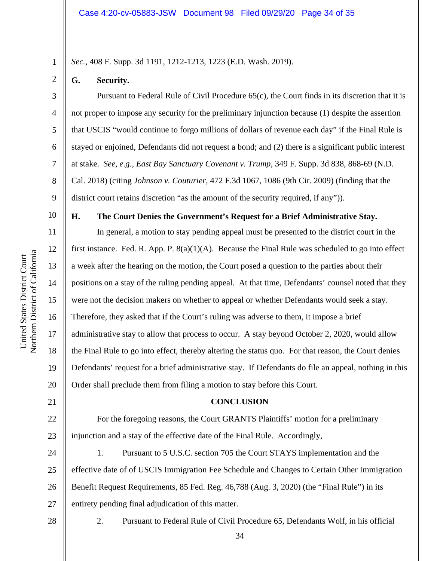*Sec.,* 408 F. Supp. 3d 1191, 1212-1213, 1223 (E.D. Wash. 2019).

### **G. Security.**

1

2

3

4

5

6

7

8

9

10

11

12

13

14

15

16

17

18

19

20

21

 Pursuant to Federal Rule of Civil Procedure 65(c), the Court finds in its discretion that it is not proper to impose any security for the preliminary injunction because (1) despite the assertion that USCIS "would continue to forgo millions of dollars of revenue each day" if the Final Rule is stayed or enjoined, Defendants did not request a bond; and (2) there is a significant public interest at stake. *See, e.g., East Bay Sanctuary Covenant v. Trump*, 349 F. Supp. 3d 838, 868-69 (N.D. Cal. 2018) (citing *Johnson v. Couturier*, 472 F.3d 1067, 1086 (9th Cir. 2009) (finding that the district court retains discretion "as the amount of the security required, if any")).

**H. The Court Denies the Government's Request for a Brief Administrative Stay.** 

In general, a motion to stay pending appeal must be presented to the district court in the first instance. Fed. R. App. P.  $8(a)(1)(A)$ . Because the Final Rule was scheduled to go into effect a week after the hearing on the motion, the Court posed a question to the parties about their positions on a stay of the ruling pending appeal. At that time, Defendants' counsel noted that they were not the decision makers on whether to appeal or whether Defendants would seek a stay. Therefore, they asked that if the Court's ruling was adverse to them, it impose a brief administrative stay to allow that process to occur. A stay beyond October 2, 2020, would allow the Final Rule to go into effect, thereby altering the status quo. For that reason, the Court denies Defendants' request for a brief administrative stay. If Defendants do file an appeal, nothing in this Order shall preclude them from filing a motion to stay before this Court.

#### **CONCLUSION**

22 23 For the foregoing reasons, the Court GRANTS Plaintiffs' motion for a preliminary injunction and a stay of the effective date of the Final Rule. Accordingly,

24 25 26 27 1. Pursuant to 5 U.S.C. section 705 the Court STAYS implementation and the effective date of of USCIS Immigration Fee Schedule and Changes to Certain Other Immigration Benefit Request Requirements, 85 Fed. Reg. 46,788 (Aug. 3, 2020) (the "Final Rule") in its entirety pending final adjudication of this matter.

28

2. Pursuant to Federal Rule of Civil Procedure 65, Defendants Wolf, in his official